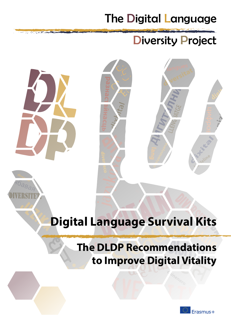# The Digital Language

# Diversity Project





# **Digital Language Survival Kits**

# **The DLDP Recommendations to Improve Digital Vitality**

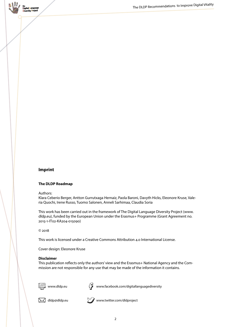

## **Imprint**

#### **The DLDP Roadmap**

Authors:

Klara Ceberio Berger, Antton Gurrutxaga Hernaiz, Paola Baroni, Davyth Hicks, Eleonore Kruse, Valeria Quochi, Irene Russo, Tuomo Salonen, Anneli Sarhimaa, Claudia Soria

This work has been carried out in the framework of The Digital Language Diversity Project (www. dldp.eu), funded by the European Union under the Erasmus+ Programme (Grant Agreement no. 2015-1-IT02-KA204-015090)

© 2018

This work is licensed under a Creative Commons Attribution 4.0 International License.

Cover design: Eleonore Kruse

#### **Disclaimer**

This publication reflects only the authors' view and the Erasmus+ National Agency and the Commission are not responsible for any use that may be made of the information it contains.



www.dldp.eu

 $\sqrt[\ell]{\boldsymbol{z}}$  www.facebook.com/digitallanguagediversity



 $\boxtimes$  dldp@dldp.eu www.twitter.com/dldproject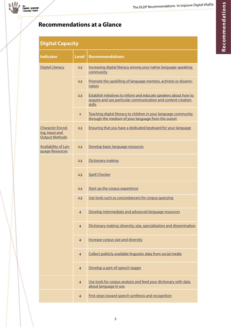# **Recommendations at a Glance**

# **Digital Capacity**

| <b>Indicator</b>                                                   | <b>Level</b>   | <b>Recommendations</b>                                                                                                                       |
|--------------------------------------------------------------------|----------------|----------------------------------------------------------------------------------------------------------------------------------------------|
| <b>Digital Literacy</b>                                            | 2,3            | Increasing digital literacy among your native language-speaking<br>community                                                                 |
|                                                                    | 2,3            | Promote the upskilling of language mentors, activists or dissemi-<br>nators                                                                  |
|                                                                    | 2,3            | Establish initiatives to inform and educate speakers about how to<br>acquire and use particular communication and content creation<br>skills |
|                                                                    | $\overline{2}$ | Teaching digital literacy to children in your language community<br>through the medium of your language from the outset                      |
| <b>Character Encod-</b><br>ing, Input and<br><b>Output Methods</b> | 2,3            | Ensuring that you have a dedicated keyboard for your language                                                                                |
| <b>Availability of Lan-</b><br>guage Resources                     | 2,3            | Develop basic language resources                                                                                                             |
|                                                                    | 2,3            | Dictionary making                                                                                                                            |
|                                                                    | 2,3            | <b>Spell Checker</b>                                                                                                                         |
|                                                                    | 2,3            | Start up the corpus experience                                                                                                               |
|                                                                    | 2,3            | Use tools such as concordancers for corpus querying                                                                                          |
|                                                                    | $\overline{4}$ | Develop intermediate and advanced language resources                                                                                         |
|                                                                    | $\overline{4}$ | Dictionary making: diversity, size, specialization and dissemination                                                                         |
|                                                                    | $\overline{4}$ | Increase corpus size and diversity                                                                                                           |
|                                                                    | $\overline{4}$ | Collect publicly available linguistic data from social media                                                                                 |
|                                                                    | $\overline{4}$ | Develop a part-of-speech tagger                                                                                                              |
|                                                                    | $\overline{4}$ | Use tools for corpus analysis and feed your dictionary with data<br>about language in use                                                    |
|                                                                    | $\overline{4}$ | First steps toward speech synthesis and recognition                                                                                          |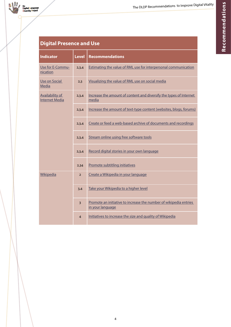| <b>Indicator</b>                                | <b>Level</b>   | <b>Recommendations</b>                                                                |  |
|-------------------------------------------------|----------------|---------------------------------------------------------------------------------------|--|
| Use for E-Commu-<br>nication                    | 2,3,4          | Estimating the value of RML use for interpersonal communication                       |  |
| Use on Social<br>Media                          | 2,3            | Visualizing the value of RML use on social media                                      |  |
| <b>Availability of</b><br><b>Internet Media</b> | 2,3,4          | Increase the amount of content and diversify the types of Internet<br>media           |  |
|                                                 | 2,3,4          | Increase the amount of text-type content (websites, blogs, forums)                    |  |
|                                                 | 2,3,4          | Create or feed a web-based archive of documents and recordings                        |  |
|                                                 | 2,3,4          | Stream online using free software tools                                               |  |
|                                                 | 2,3,4          | Record digital stories in your own language                                           |  |
|                                                 | 2,34           | Promote subtitling initiatives                                                        |  |
| <b>Wikipedia</b>                                | $\overline{2}$ | Create a Wikipedia in your language                                                   |  |
|                                                 | 3,4            | Take your Wikipedia to a higher level                                                 |  |
|                                                 | $\overline{3}$ | Promote an initiative to increase the number of wikipedia entries<br>in your language |  |
|                                                 | $\overline{4}$ | Initiatives to increase the size and quality of Wikipedia                             |  |

# **Digital Presence and Use**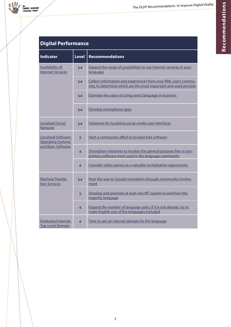# **Digital Performance**

| <b>Indicator</b>                                                             | <b>Level</b>            | <b>Recommendations</b>                                                                                                               |
|------------------------------------------------------------------------------|-------------------------|--------------------------------------------------------------------------------------------------------------------------------------|
| <b>Availability of</b><br><b>Internet Services</b>                           | 3,4                     | Expand the range of possibilities to use Internet services in your<br>language                                                       |
|                                                                              | 3,4                     | Collect information and experiences from your RML users' commu-<br>nity, to determine which are the most important and used services |
|                                                                              | 3,4                     | Estimate the value of using users' language in business                                                                              |
|                                                                              | 3,4                     | Develop smartphone apps                                                                                                              |
| <b>Localised Social</b><br><b>Network</b>                                    | 3,4                     | Initiatives for localising social media user interfaces                                                                              |
| <b>Localised Software:</b><br><b>Operating Systems</b><br>and Basic Software | $\overline{3}$          | Start a community effort to localise free software                                                                                   |
|                                                                              | $\overline{4}$          | Strengthen initiatives to localise the general purpose free or pro-<br>prietary software most used in the language community         |
|                                                                              | $\overline{4}$          | Consider video games as a valuable revitalisation opportunity                                                                        |
| Machine Transla-<br>tion Services                                            | 3,4                     | Pave the way to Google translation through community involve-<br>ment                                                                |
|                                                                              | 3                       | Develop and promote at least one MT system to and from the<br>majority language                                                      |
|                                                                              | $\overline{4}$          | Expand the number of language pairs; if it is not already, try to<br>make English one of the languages included                      |
| <b>Dedicated Internet</b><br><b>Top-Level Domain</b>                         | $\overline{\mathbf{4}}$ | Time to get an internet domain for the language                                                                                      |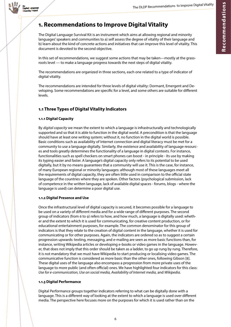

# **1. Recommendations to Improve Digital Vitality**

The Digital Language Survival Kit is an instrument which aims at allowing regional and minority languages' speakers and communities to a) self assess the degree of vitality of their language and b) learn about the kind of concrete actions and initiatives that can improve this level of vitality. This document is devoted to the second objective.

In this set of recommendations, we suggest some actions that may be taken—mostly at the grassroots level — to make a language progress towards the next steps of digital vitality.

The recommendations are organized in three sections, each one related to a type of indicator of digital vitality.

The recommendations are intended for three levels of digital vitality: Dormant, Emergent and Developing. Some recommendations are specific for a level, and some others are suitable for different levels.

# **1.1 Three Types of Digital Vitality Indicators**

## **1.1.1 Digital Capacity**

By *digital capacity* we mean the extent to which a language is infrastructurally and technologically supported and so that it is able to function in the digital world. A precondition is that the language should have at least one writing system; without it, no function in the digital world is possible. Basic conditions such as availability of Internet connection and digital literacy must be met for a community to use a language digitally. Similarly, the existence and availability of language resources and tools greatly determines the functionality of a language in digital contexts. For instance, functionalities such as spell checkers on smart phones can boost - in principle - its use by making its typing easier and faster. A language's digital capacity only refers to its potential to be used digitally, but it by no means guarantees that a community will use it. This is the case, for instance, of many European regional or minority languages: although most of these languages meet all the requirements of digital capacity, they are often little used in comparison to the official state language of the countries where they are spoken. Other factors (psychological submission, lack of competence in the written language, lack of available digital spaces - forums, blogs - where the language is used) can determine a poor digital use.

#### **1.1.2 Digital Presence and Use**

Once the infrastructural level of digital capacity is secured, it becomes possible for a language to be used on a variety of different media and for a wide range of different purposes. The second group of indicators (from 6 to 9) refers to how, and how much, a language is digitally used: whether and the extent to which it is used for communicating, for creative content production, or for educational entertainment purposes, for example. The common denominator for this group of indicators is that they relate to the creation of digital content in the language, whether it is used for communicating or for other purposes. Again, the indicators are ordered so as to suggest a certain progression upwards: texting, messaging, and e-mailing are seen as more basic functions than, for instance, writing Wikipedia articles or developing e-books or video games in the language. However, that does not imply that this order should be taken as a ladder, to go up rung by rung. Therefore, it is not mandatory that we must have Wikipedia to start producing or localising video games. The communicative function is considered as more basic than the other ones, following Gibson [8]. These digital uses of the language also encompass a progression from more private uses of the language to more public (and often official) ones. We have highlighted four indicators for this class: *Use for e-communication, Use on social media, Availability of Internet media,* and *Wikipedia.*

#### **1.1.3 Digital Performance**

Digital Performance groups together indicators referring to what can be digitally done with a language. This is a different way of looking at the extent to which a language is used over different media. The perspective here focuses more on the purposes for which it is used rather than on the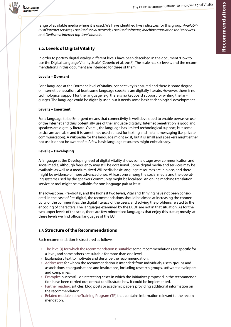

range of available media where it is used. We have identified five indicators for this group: *Availability of Internet services, Localised social network, Localised software, Machine translation tools/services,*  and *Dedicated Internet top-level domain.*

# **1.2. Levels of Digital Vitality**

In order to portray digital vitality, different levels have been described in the document "How to use the Digital Language Vitality Scale" (Ceberio et al., 2018). The scale has six levels, and the recommendations in this document are intended for three of them:

#### **Level 2 – Dormant**

For a language at the Dormant level of vitality, connectivity is ensured and there is some degree of Internet penetration; at least some language speakers are digitally literate. However, there is no technological support for the language (e.g. there is no keyboard support for writing the language). The language could be digitally used but it needs some basic technological development.

#### **Level 3 – Emergent**

For a language to be Emergent means that connectivity is well developed to enable pervasive use of the Internet and thus potentially use of the language digitally. Internet penetration is good and speakers are digitally literate. Overall, the language has limited technological support, but some basics are available and it is sometimes used at least for texting and instant messaging (i.e. private communication). A Wikipedia for the language might exist, but it is small and speakers might either not use it or not be aware of it. A few basic language resources might exist already.

#### **Level 4 – Developing**

A language at the Developing level of digital vitality shows some usage over communication and social media, although frequency may still be occasional. Some digital media and services may be available, as well as a medium-sized Wikipedia; basic language resources are in place, and there might be evidence of more advanced ones. At least one among the social media and the operating systems used by the speakers' community might be localised. An online machine translation service or tool might be available, for one language pair at least.

The lowest one, Pre-digital, and the highest two levels, Vital and Thriving have not been considered. In the case of Pre-digital, the recommendations should be aimed at increasing the connectivity of the communities, the digital literacy of the users, and solving the problems related to the encoding of characters. The languages examined by the DLDP are not in that situation. As for the two upper levels of the scale, there are few minoritised languages that enjoy this status; mostly, at these levels we find official languages of the EU.

## **1.3 Structure of the Recommendations**

Each recommendation is structured as follows:

- » The level(s) for which the recommendation is suitable: some recommendations are specific for a level, and some others are suitable for more than one level.
- » Explanatory text to motivate and describe the recommendation.
- » Addressees for whom the recommendation is intended: from individuals, users' groups and associations, to organisations and institutions, including research groups, software developers and companies.
- » Examples: successful or interesting cases in which the initiatives proposed in the recommendation have been carried out, or that can illustrate how it could be implemented.
- » Further reading: articles, blog posts or academic papers providing additional information on the recommendation.
- » Related module in the Training Program (TP) that contains information relevant to the recommendation.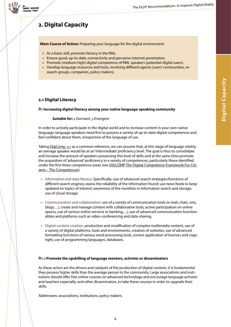

# **2. Digital Capacity**

**Main Course of Action:** Preparing your language for the digital environment

- » As a basic skill, promote literacy in the RML.
- » Ensure good, up-to-date, connectivity and pervasive internet penetration.
- » Promote (medium-high) digital competence of RML speakers (potential digital users).
- » Develop language resources and tools, involving different agents (users' communities, research groups, companies, policy makers).

## <span id="page-7-0"></span>**2.1 Digital Literacy**

#### <span id="page-7-1"></span>**R1 Increasing digital literacy among your native language-speaking community**

#### *Suitable for: 2 Dormant, 3 Emergent*

In order to actively participate in the digital world and to increase content in your own native language, language speakers need first to possess a variety of up-to-date digital competences and feel confident about them, irrespective of the language of use.

Taking **[DigComp](https://ec.europa.eu/jrc/en/publication/eur-scientific-and-technical-research-reports/digcomp-21-digital-competence-framework-citizens-eight-proficiency-levels-and-examples-use) [2.1](https://ec.europa.eu/jrc/en/publication/eur-scientific-and-technical-research-reports/digcomp-21-digital-competence-framework-citizens-eight-proficiency-levels-and-examples-use)** as a common reference, we can assume that, at this stage of language vitality, an average speaker would be at an 'Intermediate' proficiency level. The goal is thus to consolidate and increase the amount of speakers possessing this level of skills and at the same time promote the acquisition of 'advanced' proficiency in a variety of competences, particularly those identified under the first three competence areas (see [DIGCOMP The Digital Competence Framework For Citi](https://ec.europa.eu/jrc/sites/jrcsh/files/DIGCOMP-PAGE 02- UPDATED 02-06-2016.pdf)[zens](https://ec.europa.eu/jrc/sites/jrcsh/files/DIGCOMP-PAGE 02- UPDATED 02-06-2016.pdf) [–](http://www.indigitization.ca/) [The Competences\)](https://ec.europa.eu/jrc/sites/jrcsh/files/DIGCOMP-PAGE 02- UPDATED 02-06-2016.pdf):

- » Information and data literacy. Specifically: use of advanced search strategies/functions of different search engines; assess the reliability of the information found; use news feeds to keep updated on topics of interest; awareness of the novelties in information search and storage; use of cloud storage.
- » Communication and collaboration: use of a variety of communication tools (e-mail, chats, sms, blogs…), create and manage content with collaborative tools, active participation on online spaces, use of various online services (e-banking, ...), use of advanced communication functionalities and platforms such as video-conferencing and data-sharing.
- » Digital content creation: production and modification of complex multimedia content, use of a variety of digital platforms, tools and environments, creation of websites, use of advanced formatting functions of various word processing tools, correct application of licenses and copyright, use of programming languages, databases.

#### <span id="page-7-2"></span>**R1.1 Promote the upskilling of language mentors, activists or disseminators**

As these actors are the drivers and catalysts of the production of digital content, it is fundamental they possess higher skills than the average person in the community. Large associations and institutions should offer free online courses on advanced technology and encourage language activists and teachers especially, and other disseminators, to take these courses in order to upgrade their skills.

Addressees: associations, institutions, policy makers.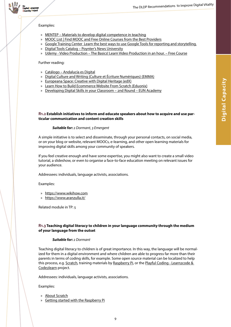



#### Examples:

- » [MENTEP Materials to develop digital competence in teaching](http://mentep.eun.org/resource-ecosystem/)
- » [MOOC List | Find MOOC and Free Online Courses from the Best Providers](https://www.mooc-list.com/)
- » [Google Training Center](https://newslab.withgoogle.com/training)[Learn the best ways to use Google Tools for reporting and storytelling.](https://newslab.withgoogle.com/training)
- » [Digital Tools Catalog Poynter's News University](https://www.newsu.org/resources/digital-tools)
- » [Udemy Video Production The Basics! Learn Video Production in an hour. Free Course](https://www.udemy.com/video-production/)

Further reading:

- » [Catálogo Andalucía es Digital](http://www.formacion.andaluciaesdigital.es/catalogo-cursos)
- » [Digital Culture and Writing \(Culture et Écriture Numériques\) \(EMMA\)](https://www.mooc-list.com/course/digital-culture-and-writing-culture-et-ecriture-num%C3%A9riques-emma)
- » [Europeana Space: Creative with Digital Heritage \(edX\)](https://www.mooc-list.com/course/europeana-space-creative-digital-heritage-edx)
- » [Learn How to Build Ecommerce Website From Scratch \(Eduonix\)](https://www.mooc-list.com/course/learn-how-build-ecommerce-website-scratch-eduonix)
- » [Developing Digital Skills in your Classroom 2nd Round EUN Academy](http://www.europeanschoolnetacademy.eu/web/developing-digital-skills-in-your-classroom-2nd-round)

#### <span id="page-8-0"></span>**R1.2 Establish initiatives to inform and educate speakers about how to acquire and use particular communication and content creation skills**

#### *Suitable for: 2 Dormant, 3 Emergent*

A simple initiative is to select and disseminate, through your personal contacts, on social media, or on your blog or website, relevant MOOCs, e-learning, and other open learning materials for improving digital skills among your community of speakers.

If you feel creative enough and have some expertise, you might also want to create a small video tutorial, a slideshow, or even to organise a face-to-face education meeting on relevant issues for your audience.

Addressees: individuals, language activists, associations.

Examples:

- » [https://www.wikihow.com](https://www.wikihow.com/)
- » <https://www.aranzulla.it/>

Related module in TP: 5

#### <span id="page-8-1"></span>**R1.3 Teaching digital literacy to children in your language community through the medium of your language from the outset**

#### *Suitable for: 2 Dormant*

Teaching digital literacy to children is of great importance. In this way, the language will be normalized for them in a digital environment and where children are able to progress far more than their parents in terms of coding skills, for example. Some open source material can be localized to help this process, e.g. [Scratch,](https://scratch.mit.edu/) training materials by [Raspberry Pi](https://www.raspberrypi.org/), or the Playful Coding - Learn2code & [Code2learn](http://playfulcoding.udg.edu/) project.

Addressees: individuals, language activists, associations.

Examples:

- » [About Scratch](https://scratch.mit.edu/about/)
- » [Getting started with the Raspberry Pi](https://projects.raspberrypi.org/en/projects/raspberry-pi-getting-started)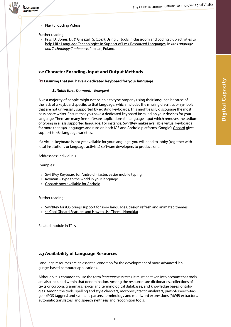

#### » [PlayFul Coding Videos](http://playfulcoding.udg.edu/video-about-project/)

Further reading:

» Prys, D., Jones, D., & Ghazzali, S. (2017)[. Using LT tools in classroom and coding club activities to](https://research.bangor.ac.uk/portal/en/researchoutputs/using-lt-tools-in-classroom-and-coding-club-activities-to-help-lrls-language-technologies-in-support-of-lessresourced-languages(12be0c75-2756-4111-aab7-8652dcfaa6a1).html)  [help LRLs Language Technologies in Support of Less-Resourced Languages.](https://research.bangor.ac.uk/portal/en/researchoutputs/using-lt-tools-in-classroom-and-coding-club-activities-to-help-lrls-language-technologies-in-support-of-lessresourced-languages(12be0c75-2756-4111-aab7-8652dcfaa6a1).html) In *8th Language and Technology Conference*. Poznan, Poland.

## <span id="page-9-0"></span>**2.2 Character Encoding, Input and Output Methods**

#### <span id="page-9-1"></span>**R2 Ensuring that you have a dedicated keyboard for your language**

#### *Suitable for: 2 Dormant, 3 Emergent*

A vast majority of people might not be able to type properly using their language because of the lack of a keyboard specific to that language, which includes the missing diacritics or symbols that are not universally supported by existing keyboards. This might easily discourage the most passionate writer. Ensure that you have a dedicated keyboard installed on your devices for your language. There are many free software applications for language input which removes the tedium of typing in a less supported language. For instance, **SwiftKey** makes available virtual keyboards for more than 190 languages and runs on both iOS and Android platforms. Google's [Gboard](https://play.google.com/store/apps/details?id=com.google.android.inputmethod.latin&hl=en) gives support to 185 language varieties.

If a virtual keyboard is not yet available for your language, you will need to lobby (together with local institutions or language activists) software developers to produce one.

Addressees: individuals

Examples:

- » [SwiftKey Keyboard for Android](https://itunes.apple.com/us/app/swiftkey-keyboard/id911813648?mt=8) [–](https://www.udemy.com/video-production/) [faster, easier mobile typing](https://itunes.apple.com/us/app/swiftkey-keyboard/id911813648?mt=8)
- » [Keyman](https://keyman.com/) [–](https://medium.com/wikitongues/getting-started-with-poly-fd1d3b0924dd) [Type to the world in your language](https://keyman.com/)
- » Gboard: now available for Android

Further reading:

- » [SwiftKey for iOS brings support for 100+ languages, design refresh and animated themes!](https://blog.swiftkey.com/swiftkey-for-ios-brings-support-for-100-languages-design-refresh-and-animated-themes/)
- » [10 Cool Gboard Features and How to Use Them Hongkiat](https://www.hongkiat.com/blog/new-gboard-features/)

Related module in TP: 5

## <span id="page-9-2"></span>**2.3 Availability of Language Resources**

Language resources are an essential condition for the development of more advanced language-based computer applications.

Although it is common to use the term *language resources*, it must be taken into account that tools are also included within that denomination. Among the resources are dictionaries, collections of texts or corpora, grammars, lexical and terminological databases, and knowledge bases, ontologies. Among the tools, spelling and style checkers, morphosyntactic analyzers, part-of-speech-taggers (POS taggers) and syntactic parsers, terminology and multiword expressions (MWE) extractors, automatic translators, and speech synthesis and recognition tools.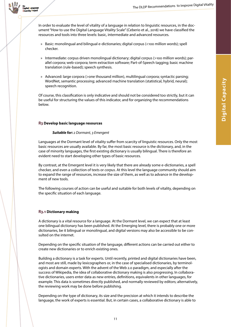Digital Language versity Project

> In order to evaluate the level of vitality of a language in relation to linguistic resources, in the document "How to use the Digital Language Vitality Scale" (Ceberio et al., 2018) we have classified the resources and tools into three levels: basic, intermediate and advanced resources.

- » Basic: monolingual and bilingual e-dictionaries; digital corpus (<100 million words); spell checker.
- » Intermediate: corpus driven monolingual dictionary; digital corpus (>100 million words); parallel corpora; web-corpora; term extraction software; Part-of-Speech tagging; basic machine translation (rule-based); speech synthesis.
- » Advanced: large corpora (>one thousand million), multilingual corpora; syntactic parsing; WordNet, semantic processing; advanced machine translation (statistical, hybrid, neural); speech recognition.

Of course, this classification is only indicative and should not be considered too strictly, but it can be useful for structuring the values of this indicator, and for organizing the recommendations below.

#### <span id="page-10-0"></span>**R3 Develop basic language resources**

#### *Suitable for: 2 Dormant, 3 Emergent*

Languages at the Dormant level of vitality suffer from scarcity of linguistic resources. Only the most basic resources are usually available. By far, the most basic resource is the dictionary, and, in the case of minority languages, the first existing dictionary is usually bilingual. There is therefore an evident need to start developing other types of basic resources.

By contrast, at the Emergent level it is very likely that there are already some e-dictionaries, a spell checker, and even a collection of texts or *corpus*. At this level the language community should aim to expand the range of resources, increase the size of them, as well as to advance in the development of new tools.

The following courses of action can be useful and suitable for both levels of vitality, depending on the specific situation of each language.

#### <span id="page-10-1"></span>**R3.1 Dictionary making**

A dictionary is a vital resource for a language. At the Dormant level, we can expect that at least one bilingual dictionary has been published. At the Emerging level, there is probably one or more dictionaries, be it bilingual or monolingual, and digital versions may also be accessible to be consulted on the internet.

Depending on the specific situation of the language, different actions can be carried out either to create new dictionaries or to enrich existing ones.

Building a dictionary is a task for experts. Until recently, printed and digital dictionaries have been, and most are still, made by lexicographers or, in the case of specialised dictionaries, by terminologists and domain experts. With the advent of the Web 2.0 paradigm, and especially after the success of Wikipedia, the idea of collaborative dictionary making is also progressing. In collaborative dictionaries, users enter data as new entries, definitions, equivalents in other languages, for example. This data is sometimes directly published, and normally reviewed by editors; alternatively, the reviewing work may be done before publishing.

Depending on the type of dictionary, its size and the precision at which it intends to describe the language, the work of experts is essential. But, in certain cases, a collaborative dictionary is able to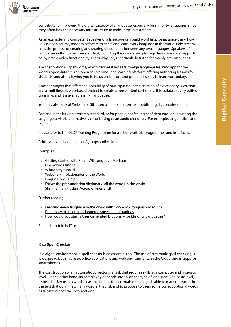

contribute to improving the digital capacity of a language, especially for minority languages, since they often lack the necessary infrastructure to make large investments.

As an example, any competent speaker of a language can build word lists, for instance using [Poly.](http://poly.wikitongues.org/) Poly is open source, modern software to share and learn every language in the world. Poly streamlines the process of creating and sharing dictionaries between any two languages. Speakers of languages without a written standard, including the world's 200 plus sign languages, are supported by native video functionality. That's why Poly is particularly suited for mainly oral languages.

Another option is [Openwords](http://www.openwords.com/), which defines itself as "a foreign language learning app for the world's open data." It is an open source language learning platform offering authoring lessons for students, and also allowing you to focus on lexicon, and prepare lessons to learn vocabulary.

Another project that offers the possibility of participating in the creation of a dictionary is [Wiktion](https://www.wiktionary.org/)[ary,](https://www.wiktionary.org/) a multilingual, web-based project to create a free content dictionary. It is collaboratively edited via a wiki, and it is available in 171 languages.

You may also look at [Webonary](https://www.webonary.org/), SIL International's platform for publishing dictionaries online.

For languages lacking a written standard, or for people not feeling confident enough in writing the language, a viable alternative is contributing to an audio dictionary. For example, [Lingua Libre](https://lingualibre.fr/) and [Forvo.](https://forvo.com/)

Please refer to the DLDP Training Programme for a list of available programmes and interfaces.

Addressees: individuals, users' groups, collectives.

Examples:

- » [Getting started with Poly](https://medium.com/wikitongues/getting-started-with-poly-fd1d3b0924dd) [–](https://www.udemy.com/video-production/) [Wikitongues](https://medium.com/wikitongues/getting-started-with-poly-fd1d3b0924dd) [–](https://www.udemy.com/video-production/) [Medium](https://medium.com/wikitongues/getting-started-with-poly-fd1d3b0924dd)
- » Openwords tutorial
- » [Wiktionary tutorial](https://en.wiktionary.org/wiki/Wiktionary:Tutorial)
- » [Webonary Dictionaries of the World](http://www.webonary.org/)
- » [Lingua Libre Help](https://lingualibre.fr/wiki/Help:Main)
- » [Forvo: the pronunciation dictionary. All the words in the world](https://forvo.com/)
- » [Stimmen fan Fryslân](https://lanfantaal.com/project/voices-of-friesland/) (Voices of Friesland)

Further reading:

- » [Learning every language in the world with Poly](https://medium.com/wikitongues/learning-every-language-in-the-world-with-poly-86211aee5ac1) [–](https://www.udemy.com/video-production/) [Wikitongues Medium](https://medium.com/wikitongues/learning-every-language-in-the-world-with-poly-86211aee5ac1)
- » [Dictionary making in endangered speech communities](http://www.mpi.nl/world/lrec/2002/papers/lrec-pap-07-Dictionary_Endangered_SpComm.pdf)
- » [How would you start a User Generated Dictionary for Minority Languages?](https://www.quora.com/How-would-you-start-a-User-Generated-Dictionary-for-Minority-Languages)

Related module in TP: 6

#### <span id="page-11-0"></span>**R3.2 Spell Checker**

In a digital environment, a spell checker is an essential tool. The use of automatic spell checking is widespread both in classic office applications and web environments, in the Cloud, and in apps for smartphones.

The construction of an automatic corrector is a task that requires skills at a computer and linguistic level. On the other hand, its complexity depends largely on the type of language. At a basic level, a spell checker uses a word list as a reference for acceptable spellings, is able to mark the words in the text that don't match any word in that list, and to propose to users some correct optional words as substitutes for the incorrect one.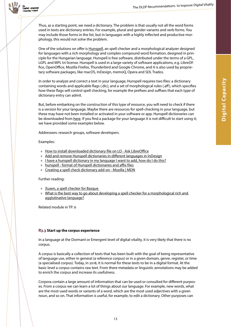

Thus, as a starting point, we need a dictionary. The problem is that usually not all the word forms used in texts are dictionary entries. For example, plural and gender variants and verb forms. You may include those forms in the list, but in languages with a highly inflected and productive morphology, this would not solve the problem.

One of the solutions on offer is [Hunspell](http://hunspell.github.io/), an spell checker and a morphological analyzer designed for languages with a rich morphology and complex compound word formation, designed in principle for the Hungarian language. Hunspell is free software, distributed under the terms of a GPL, LGPL and MPL tri-license. Hunspell is used in a large variety of software applications, e.g. LibreOffice, OpenOffice, Mozilla Firefox, Thunderbird and Google Chrome, and it is also used by proprietary software packages, like macOS, InDesign, memoQ, Opera and SDL Trados.

In order to analyze and correct a text in your language, Hunspell requires two files: a dictionary containing words and applicable flags (.dic), and a set of morphological rules (.aff), which specifies how these flags will control spell checking, for example the prefixes and suffixes that each type of dictionary entry can admit.

But, before embarking on the construction of this type of resource, you will need to check if there is a version for your language. Maybe there are resources for spell-checking in your language, but these may have not been installed or activated in your software or app. Hunspell dictionaries can be downloaded from [here.](https://github.com/wooorm/dictionaries) If you find a package for your language it is not difficult to start using it; we have provided some examples below.

Addressees: research groups, software developers.

#### Examples:

- » [How to install downloaded dictionary file on LO Ask LibreOffice](https://ask.libreoffice.org/en/question/53591/how-to-install-downloaded-dictionary-file-on-lo/)
- » [Add and remove Hunspell dictionaries in different languages in InDesign](https://helpx.adobe.com/indesign/kb/add_cs_dictionaries.html)
- » [I have a hunspell dictionary in my language I want to add, how do I do this?](https://support.mozilla.org/eu/questions/934537)
- » [hunspell format of Hunspell dictionaries and affix files](https://www.systutorials.com/docs/linux/man/4-hunspell/)
- » [Creating a spell check dictionary add-on Mozilla | MDN](https://developer.mozilla.org/en-US/docs/Mozilla/Creating_a_spell_check_dictionary_add-on)

#### Further reading:

- » [Xuxen, a spell checker for Basque](https://www.elhuyar.eus/en/site/services/teknologies/xuxen)
- » [What is the best way to go about developing a spell checker for a morphological rich and](https://www.researchgate.net/post/What_is_the_best_way_to_go_about_developing_a_spell_checker_for_a_morphological_rich_and_aggultinative_language)  [agglutinative language?](https://www.researchgate.net/post/What_is_the_best_way_to_go_about_developing_a_spell_checker_for_a_morphological_rich_and_aggultinative_language)

Related module in TP: 6

#### <span id="page-12-0"></span>**R3.3 Start up the corpus experience**

In a language at the Dormant or Emergent level of digital vitality, it is very likely that there is no corpus.

A corpus is basically a collection of texts that has been built with the goal of being representative of language use, either in general (a reference corpus) or in a given domain, genre, register, or time (a specialised corpus). Today, in 2018, it is normal for these texts to be in a digital format. At the basic level a corpus contains raw text. From there metadata or linguistic annotations may be added to enrich the corpus and increase its usefulness.

Corpora contain a large amount of information that can be used or consulted for different purposes. From a corpus we can learn a lot of things about our language. For example, new words, what are the most used words or variants of a word, which are the most used adjectives with a given noun, and so on. That information is useful, for example, to edit a dictionary. Other purposes can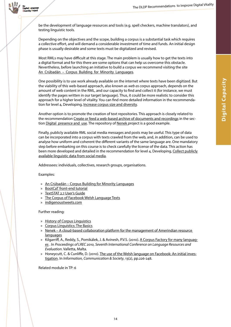



be the development of language resources and tools (e.g. spell checkers, machine translators), and testing linguistic tools.

Depending on the objectives and the scope, building a corpus is a substantial task which requires a collective effort, and will demand a considerable investment of time and funds. An initial design phase is usually desirable and some texts must be digitalized and revised.

Most RMLs may have difficult at this stage. The main problem is usually how to get the texts into a digital format and for this there are some options that can help us overcome this obstacle. Nevertheless, before launching an initiative to build a corpus we recommend visiting the site [An](http://crubadan.org/)[Crúbadán](http://crubadan.org/) - [Corpus](http://crubadan.org/) [Building](http://crubadan.org/) [for](http://crubadan.org/) [Minority](http://crubadan.org/) [Languages](http://crubadan.org/).

One possibility is to use work already available on the internet where texts have been digitized. But the viability of this web-based approach, also known as *web as corpus* approach, depends on the amount of web content in the RML, and our capacity to find and collect it (for instance, we must identify the pages written in our target language). Thus, it could be more realistic to consider this approach for a higher level of vitality. You can find more detailed information in the recommendation for level 4, Developing, [Increase corpus size and diversity.](https://docs.google.com/document/d/1cArJ3xxyosqQ5VV07haBBu1VbQ6wVB1sa4cMSgs51SA/edit#heading=h.eh9f5y24er6l)

Another option is to promote the creation of text repositories. This approach is closely related to the recommendation [Create or feed a web-based archive of documents and recordings](https://docs.google.com/document/d/1cArJ3xxyosqQ5VV07haBBu1VbQ6wVB1sa4cMSgs51SA/edit#heading=h.3go7o626gy3i) in the sec-tion Digital presence and use. The repository of [Nenek p](http://nenek.inali.gob.mx/ECAD/v2/)roject is a good example.

Finally, publicly available RML social media messages and posts may be useful. This type of data can be incorporated into a corpus with texts crawled from the web, and, in addition, can be used to analyse how uniform and coherent the different variants of the same language are. One mandatory step before embarking on this course is to check carefully the license of the data. This action has been more developed and detailed in the recommendation for level 4, Developing, [Collect publicly](https://docs.google.com/document/d/1cArJ3xxyosqQ5VV07haBBu1VbQ6wVB1sa4cMSgs51SA/edit#heading=h.bn3nkyp6k3pm)  [available linguistic data from social media.](https://docs.google.com/document/d/1cArJ3xxyosqQ5VV07haBBu1VbQ6wVB1sa4cMSgs51SA/edit#heading=h.bn3nkyp6k3pm)

Addressees: individuals, collectives, research groups, organisations.

#### Examples:

- » [An Crúbadán](http://crubadan.org/) [–](https://medium.com/wikitongues/getting-started-with-poly-fd1d3b0924dd) [Corpus Building for Minority Languages](http://crubadan.org/)
- » [BootCaT front-end tutorial](http://docs.sslmit.unibo.it/doku.php?id=bootcat:tutorials:basic_1)
- » [TextSTAT 2.7 User's Guide](https://www.uibk.ac.at/tuxtrans/docs/TextSTATusersguide.pdf)
- » [The Corpus of Facebook Welsh Language Texts](http://techiaith.cymru/corpora/facebook/?lang=en)
- » [indigenoustweets.com](http://indigenoustweets.com/)

#### Further reading:

- » [History of Corpus Linguistics](https://www.youtube.com/watch?v=L1kKKsWA6R4)
- » [Corpus Linguistics: The Basics](https://www.youtube.com/watch?v=32RjJ-lA-8Q)
- » [Nenek](http://www.nenek.mx/nenekdev/) [–](https://www.udemy.com/video-production/) [A cloud-based collaboration platform for the management of Amerindian resource](http://www.nenek.mx/nenekdev/)  **[languages](http://www.nenek.mx/nenekdev/)**
- » Kilgarriff, A., Reddy, S., Pomikálek, J. & Avinesh, P.V.S. (2010). [A Corpus Factory for many languag](https://www.sketchengine.co.uk/wp-content/uploads/2015/05/Corpus_Factory_2010.pdf)[es](https://www.sketchengine.co.uk/wp-content/uploads/2015/05/Corpus_Factory_2010.pdf) . In *Proceedings of LREC 2010, Seventh International Conference on Language Resources and Evaluation*. Valletta, Malta.
- » Honeycutt, C. & Cunliffe, D. (2010). [The use of the Welsh language on Facebook: An initial inves](http://www.tandfonline.com/doi/abs/10.1080/13691180902914628?src=recsys&journalCode=rics20)[tigation.](http://www.tandfonline.com/doi/abs/10.1080/13691180902914628?src=recsys&journalCode=rics20) In *Information, Communication & Society*, 13(2), pp.226-248.

Related module in TP: 6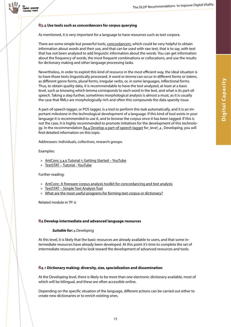

#### <span id="page-14-0"></span>**R3.4 Use tools such as concordancers for corpus querying**

As mentioned, it is very important for a language to have resources such as text corpora.

There are some simple but powerful tools, [concordancers](https://en.wikipedia.org/wiki/Concordancer), which could be very helpful to obtain information about words and their use, and that can be used with raw text, that is to say, with text that has not been analyzed to add linguistic information about the words. You can get information about the frequency of words, the most frequent combinations or collocations, and use the results for dictionary making and other language processing tasks.

Nevertheless, in order to exploit this kind of resource in the most efficient way, the ideal situation is to have those texts linguistically processed. A word or *lemma* can occur in different forms or *tokens*, as different genre forms, plural forms, irregular verbs, or, in some languages, inflectional forms. Thus, to obtain quality data, it is recommendable to have the text analyzed, at least at a basic level, such as knowing which lemma corresponds to each word in the text, and what is its part-ofspeech. Taking a step further, sometimes morphological analysis is almost a must, as it is usually the case that RMLs are morphologically rich and often this compounds the data sparsity issue.

A part-of-speech tagger, or POS tagger, is a tool to perform this task automatically, and it is an important milestone in the technological development of a language. If this kind of tool exists in your language it is recommended to use it, and to browse the corpus once it has been tagged. If this is not the case, it is highly recommended to promote initiatives for the development of this technolo-gy. In the recommendation [R4.4 Develop a part-of-speech tagger](https://docs.google.com/document/d/1cArJ3xxyosqQ5VV07haBBu1VbQ6wVB1sa4cMSgs51SA/edit#heading=h.901ullqr2spe) for level 4, Developing, you will find detailed information on this topic.

Addressees: individuals, collectives, research groups.

Examples:

- » [AntConc 3.4.0 Tutorial 1: Getting Started](https://www.youtube.com/watch?v=O3ukHC3fyuc) [–](https://medium.com/wikitongues/getting-started-with-poly-fd1d3b0924dd) [YouTube](https://www.youtube.com/watch?v=O3ukHC3fyuc)
- » [TextSTAT](https://www.youtube.com/watch?v=juVaI2nMWOE) [–](https://medium.com/wikitongues/getting-started-with-poly-fd1d3b0924dd) [Tutorial YouTube](https://www.youtube.com/watch?v=juVaI2nMWOE)

#### Further reading:

- » [AntConc: A freeware corpus analysis toolkit for concordancing and text analysis](http://www.laurenceanthony.net/software/antconc/)
- » [TextSTAT](http://neon.niederlandistik.fu-berlin.de/en/textstat/) [–](https://medium.com/wikitongues/getting-started-with-poly-fd1d3b0924dd) [Simple Text Analysis Tool](http://neon.niederlandistik.fu-berlin.de/en/textstat/)
- » [What are the most useful programs for forming text corpus or dictionary?](https://www.researchgate.net/post/What_are_the_most_useful_programmes_for_forming_text_corpus_or_dictionary)

Related module in TP: 6

#### <span id="page-14-1"></span>**R4 Develop intermediate and advanced language resources**

#### *Suitable for: 4 Developing*

At this level, it is likely that the basic resources are already available to users, and that some intermediate resources have already been developed. At this point it's time to complete the set of intermediate resources and to look toward the development of advanced resources and tools.

#### <span id="page-14-2"></span>**R4.1 Dictionary making: diversity, size, specialization and dissemination**

At the Developing level, there is likely to be more than one electronic dictionary available, most of which will be bilingual, and these are often accessible online.

Depending on the specific situation of the language, different actions can be carried out either to create new dictionaries or to enrich existing ones.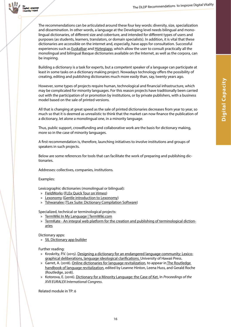

versity Project

The recommendations can be articulated around these four key words: diversity, size, specialization and dissemination. In other words, a language at the Developing level needs bilingual and monolingual dictionaries, of different size and coberture, and intended for different types of users and purposes (as students, learners, translators, or domain specialists). In addition, it is vital that these dictionaries are accessible on the internet and, especially, have apps for consultation. Successful experiences such as [Euskalbar](https://addons.mozilla.org/en-US/firefox/addon/euskalbar/) and [Hiztegiapp](https://play.google.com/store/apps/details?id=eus.elhuyar.hiztegiapp), which allow the user to consult practically all the monolingual and bilingual Basque dictionaries available on the Internet, as well as the corpora, can be inspiring.

Building a dictionary is a task for experts, but a competent speaker of a language can participate at least in some tasks on a dictionary making project. Nowadays technology offers the possibility of creating, editing and publishing dictionaries much more easily than, say, twenty years ago.

However, some types of projects require human, technological and financial infrastructure, which may be complicated for minority languages. For this reason projects have traditionally been carried out with the participation of or promotion by institutions, or by private publishers, with a business model based on the sale of printed versions.

All that is changing at great speed as the sale of printed dictionaries decreases from year to year, so much so that it is deemed as unrealistic to think that the market can now finance the publication of a dictionary, let alone a monolingual one, in a minority language.

Thus, public support, crowdfunding and collaborative work are the basis for dictionary making, more so in the case of minority languages.

A first recommendation is, therefore, launching initiatives to involve institutions and groups of speakers in such projects.

Below are some references for tools that can facilitate the work of preparing and publishing dictionaries.

Addresses: collectives, companies, institutions.

#### Examples:

Lexicographic dictionaries (monolingual or bilingual):

- » [FieldWorks](https://software.sil.org/fieldworks/) ([FLEx Quick Tour on Vimeo\)](https://vimeo.com/111419885)
- » [Lexonomy](https://www.lexonomy.eu/) ([Gentle introduction to Lexonomy](https://www.lexonomy.eu/docs/intro/))
- » [Tshwanalex \(](http://tshwanedje.com/tshwanelex/)[TLex Suite: Dictionary Compilation Software\)](https://youtu.be/D4Pn-NNy8is)

Specialized, technical or terminological projects:

- » [TermWiki In My Language | TermWiki.com](http://en.termwiki.com/TermWiki_In_My_Language)
- » [TermKate An integral web platform for the creation and publishing of terminological diction](http://termkate.elhuyar.eus/)[aries](http://termkate.elhuyar.eus/)

Dictionary apps:

» [SIL Dictionary app builder](https://software.sil.org/dictionaryappbuilder/)

Further reading:

- » Kroskrity, P.V. (2015). [Designing a dictionary for an endangered language community: Lexico](https://scholarspace.manoa.hawaii.edu/handle/10125/24637)[graphical deliberations, language ideological clarifications. U](https://scholarspace.manoa.hawaii.edu/handle/10125/24637)niversity of Hawaii Press.
- » Garret, A. (2018). [Online dictionaries for language revitalization,](http://linguistics.berkeley.edu/~garrett/garrett-dictionaries.pdf) to appear i[n The Routledge](https://www.routledge.com/The-Routledge-Handbook-of-Language-Revitalization/Hinton-Huss-Roche/p/book/9781138674493)  [handbook of language revitalization](https://www.routledge.com/The-Routledge-Handbook-of-Language-Revitalization/Hinton-Huss-Roche/p/book/9781138674493), edited by Leanne Hinton, Leena Huss, and Gerald Roche (Routledge, 2018).
- » Kotorova, E. (2016). [Dictionary for a Minority Language: the Case of Ket.](http://euralex.org/wp-content/themes/euralex/proceedings/Euralex 2016/euralex_2016_010_p129.pdf) In *Proceedings of the XVII EURALEX International Congress*.

Related module in TP: 6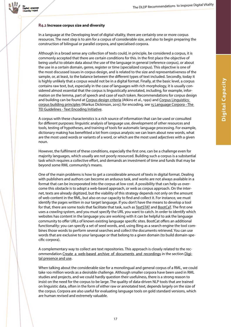

#### <span id="page-16-0"></span>**R4.2 Increase corpus size and diversity**

In a language at the Developing level of digital vitality, there are certainly one or more corpus resources. The next step is to aim for a corpus of considerable size, and also to begin preparing the construction of bilingual or parallel corpora, and specialised corpora.

Although in a broad sense any collection of texts could, in principle, be considered a corpus, it is commonly accepted that there are certain conditions for this. In the first place the objective of being useful to obtain data about the use of the language in general (reference corpus), or about the use in a certain domain, genre, register or time (specialized corpus). This objective is one of the most discussed issues in corpus design, and is related to the size and representativeness of the sample, or, at least, to the balance between the different types of text included. Secondly, today it is highly unlikely that a corpus would not be in a digital format. Finally, at the basic level, a corpus contains raw text, but, especially in the case of languages with rich morphology, it is usually considered almost essential that the corpus is linguistically annotated, including, for example, information on the lemma, part of speech and case of each token. Recommendations for corpus design and building can be found at [Corpus design criteria](http://www.natcorp.ox.ac.uk/archive/vault/tgaw02.pdf) (Atkins et al., 1992) and Corpus Linguistics: [corpus building principles](http://cl.indiana.edu/~md7/15/615/slides/02-basics/02b-building.pdf) (Markus Dickinson, 2015); for encoding, see [15 Language Corpora - The](http://www.tei-c.org/release/doc/tei-p5-doc/es/html/CC.html)  [TEI Guidelines - Text Encoding Initiative.](http://www.tei-c.org/release/doc/tei-p5-doc/es/html/CC.html)

A corpus with these characteristics is a rich source of information that can be used or consulted for different purposes: linguistic analysis of language use, development of other resources and tools, testing of hypotheses, and training of tools for automatic language processing. For example, dictionary making has benefitted a lot from corpus analysis: we can learn about new words, what are the most used words or variants of a word, or which are the most used adjectives with a given noun.

However, the fulfilment of these conditions, especially the first one, can be a challenge even for majority languages, which usually are not poorly resourced. Building such a corpus is a substantial task which requires a collective effort, and demands an investment of time and funds that may be beyond some RML community's means.

One of the main problems is how to get a considerable amount of texts in digital format. Dealing with publishers and authors can become an arduous task, and works are not always available in a format that can be incorporated into the corpus at low cost. A possibility that can help us overcome this obstacle is to adopt a web-based approach, or web as corpus approach. On the internet, texts are already digitized, but the viability of this strategy depends not only on the amount of web content in the RML, but also on our capacity to find and collect it. For instance, we must identify the pages written in our target language. If you don't have the means to develop a tool for that, there are some tools that facilitate that task, such as [TextSTAT](http://neon.niederlandistik.fu-berlin.de/en/textstat/) and [BootCaT](http://bootcat.dipintra.it/). The first one uses a *crawling* system, and you must specify the URL you want to catch. In order to identify which websites has content in the language you are working with it can be helpful to ask the language community to offer URLs of known existing language specific sites. BootCat offers an additional functionality: you can specify a set of seed words, and, using Bing as a search engine the tool combines those words to perform several searches and collect the documents retrieved. You can use words that are exclusive to your language or that belong to a given domain (to build domain-specific corpora).

A complementary way to collect are text repositories. This approach is closely related to the recommendation [Create a web-based archive of documents and recordings](https://docs.google.com/document/d/1cArJ3xxyosqQ5VV07haBBu1VbQ6wVB1sa4cMSgs51SA/edit#heading=h.3go7o626gy3i) in the section [Digi](https://docs.google.com/document/d/1cArJ3xxyosqQ5VV07haBBu1VbQ6wVB1sa4cMSgs51SA/edit#heading=h.bx5q10nftw34)[tal presence and use](https://docs.google.com/document/d/1cArJ3xxyosqQ5VV07haBBu1VbQ6wVB1sa4cMSgs51SA/edit#heading=h.bx5q10nftw34).

When talking about the considerable size for a monolingual and general corpus of a RML, we could take 100 million words as a desirable challenge. Although smaller corpora have been used in RML studies and projects, and we could hardly question their usefulness, there is a strong reason to insist on the need for the corpus to be large. The quality of data-driven NLP tools that are trained on linguistic data, often in the form of either raw or annotated text, depends largely on the size of the corpus. Corpora are also useful for evaluating language tools on gold standard versions, which are human revised and extremely valuable.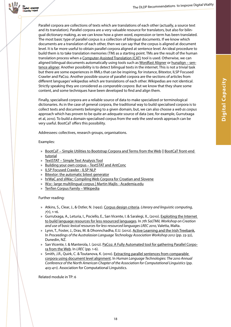**Digital Capacity**

**Digital Capacity** 



Parallel corpora are collections of texts which are translations of each other (actually, a source text and its translation). Parallel corpora are a very valuable resource for translators, but also for bilingual dictionary making, as we can know how a given word, expression or term has been translated. The most basic type of parallel corpus is a collection of bilingual documents. If we know which documents are a translation of each other, then we can say that the corpus is aligned at document level. It is far more useful to obtain parallel corpora aligned at sentence level. An ideal procedure to build them is to take translation memories (TM) as a starting point. TMs are the result of the human translation process when a [Computer-Assisted Translation \(CAT\)](https://en.wikipedia.org/wiki/Computer-assisted_translation) tool is used. Otherwise, we can aligned bilingual documents automatically using tools such as [Wordfast Aligner](https://www.wordfast.net/index.php?go=align) or [hunalign – sen](http://mokk.bme.hu/en/resources/hunalign/)[tence aligner.](http://mokk.bme.hu/en/resources/hunalign/) Another possibility is to detect bilingual texts in the internet. This is not a trivial task but there are some experiences in RMLs that can be inspiring, for instance, Bitextor, ILSP Focused Crawler and PaCo2. Another possible source of parallel corpora are the sections of articles from different languages' wikipedias which are translations of each other. Wikipedias are not identical. Strictly speaking they are considered as *comparable corpora*. But we know that they share some content, and some techniques have been developed to find and align them.

Finally, specialised corpora are a reliable source of data to make specialized or terminological dictionaries. As in the case of general corpora, the traditional way to build specialised corpora is to collect texts and documents belonging to a given domain, but, we can also choose a *web as corpus* approach which has proven to be quite an adequate source of data (see, for example, Gurrutxaga et al, 2010). To build a domain-specialised corpus from the web the *seed words* approach can be very useful. BootCaT offers this possibility.

Addressees: collectives, research groups, organisations.

#### Examples:

- » [BootCaT Simple Utilities to Bootstrap Corpora and Terms from the Web](http://bootcat.dipintra.it/) || [BootCaT front-end](http://docs.sslmit.unibo.it/doku.php?id=bootcat:tutorials:basic_1)  [tutorial](http://docs.sslmit.unibo.it/doku.php?id=bootcat:tutorials:basic_1)
- » [TextSTAT Simple Text Analysis Tool](http://neon.niederlandistik.fu-berlin.de/en/textstat/)
- » [Building your own corpus TextSTAT and AntConc](https://eflnotes.wordpress.com/2013/03/06/building-your-own-corpus-textstat-antconc/)
- » [ILSP Focused Crawler ILSP NLP](http://nlp.ilsp.gr/redmine/projects/ilsp-fc)
- » [Bitextor: the automatic bitext generator](https://sourceforge.net/p/bitextor/wiki/Home/)
- » [hrWaC and slWac: Compiling Web Corpora for Croatian and Slovene](https://pdfs.semanticscholar.org/773d/8c08d0a3733e39002522dc37404f7fc87508.pdf)
- » [W2c- large multilingual corpus | Martin Majlis Academia.edu](http://www.academia.edu/3106186/W2c-_large_multilingual_corpus)
- » [TenTen Corpus Family](https://en.wikipedia.org/wiki/TenTen_Corpus_Family) [–](https://medium.com/wikitongues/getting-started-with-poly-fd1d3b0924dd) [Wikipedia](https://en.wikipedia.org/wiki/TenTen_Corpus_Family)

#### Further reading:

- » Atkins, S., Clear, J., & Ostler, N. (1992). [Corpus design criteria.](http://www.natcorp.ox.ac.uk/archive/vault/tgaw02.pdf) *Literary and linguistic computing*, *7*(1), 1-16.
- » Gurrutxaga, A., Leturia, I., Pociello, E., San Vicente, I. & Saralegi, X., (2010). [Exploiting the Internet](https://www.researchgate.net/profile/Igor_Leturia/publication/230785926_Exploiting_the_Internet_to_build_language_resources_for_less_resourced_languages/links/0912f5045d35fe436f000000.pdf)  [to build language resources for less resourced languages.](https://www.researchgate.net/profile/Igor_Leturia/publication/230785926_Exploiting_the_Internet_to_build_language_resources_for_less_resourced_languages/links/0912f5045d35fe436f000000.pdf) In *7th SaLTMiL Workshop on Creation and use of basic lexical resources for less-resourced languages LREC 2010,* Valetta, Malta.
- » Lynn, T., Foster, J., Dras, M. & Dhonnchadha, E.U. (2012). [Active Learning and the Irish Treebank](https://www.researchgate.net/publication/274379543_Active_Learning_and_the_Irish_Treebank), In *Proceedings of the Australasian Language Technology Association Workshop 2012* (pp. 23-32), Dunedin, NZ.
- » San Vicente, I. & Manterola, I. (2012). [PaCo2: A Fully Automated tool for gathering Parallel Corpo](http://mt-archive.info/LREC-2012-SanVicente.pdf)[ra from the Web.](http://mt-archive.info/LREC-2012-SanVicente.pdf) In *LREC* (pp. 1-6).
- » Smith, J.R., Quirk, C. & Toutanova, K. (2010). [Extracting parallel sentences from comparable](https://aclanthology.info/pdf/N/N10/N10-1063.pdf)  [corpora using document level alignment.](https://aclanthology.info/pdf/N/N10/N10-1063.pdf) In *Human Language Technologies: The 2010 Annual Conference of the North American Chapter of the Association for Computational Linguistics* (pp. 403-411). Association for Computational Linguistics.

Related module in TP: 6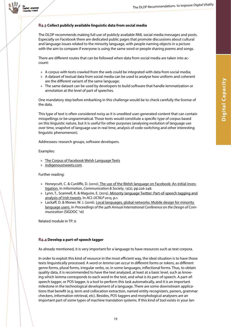

#### <span id="page-18-0"></span>**R4.3 Collect publicly available linguistic data from social media**

The DLDP recommends making full use of publicly available RML social media messages and posts. Especially on Facebook there are dedicated public pages that promote discussions about cultural and language issues related to the minority language, with people naming objects in a picture with the aim to compare if everyone is using the same word or people sharing poems and songs.

There are different routes that can be followed when data from social media are taken into account:

- » A corpus with texts crawled from the web could be integrated with data from social media;
- » A dataset of textual data from social media can be used to analyse how uniform and coherent are the different variant of the same language;
- » The same dataset can be used by developers to build software that handle lemmatization or annotation at the level of part of speeches.

One mandatory step before embarking in this challenge would be to check carefully the license of the data.

This type of text is often considered noisy as it is unedited user-generated content that can contain misspellings or be ungrammatical. Those texts would constitute a specific type of corpus based on this linguistic nature, but it is useful for other purposes (analysing evolution of language use over time, snapshot of language use in real time, analysis of code-switching and other interesting linguistic phenomenon).

Addressees: research groups, software developers.

Examples:

- » [The Corpus of Facebook Welsh Language Texts](http://techiaith.cymru/corpora/facebook/?lang=en)
- [indigenoustweets.com](http://indigenoustweets.com/)

Further reading:

- » Honeycutt, C. & Cunliffe, D. (2010). [The use of the Welsh language on Facebook: An initial inves](http://www.tandfonline.com/doi/abs/10.1080/13691180902914628?src=recsys&journalCode=rics20)[tigation.](http://www.tandfonline.com/doi/abs/10.1080/13691180902914628?src=recsys&journalCode=rics20) In *Information, Communication & Society*, 13(2), pp.226-248.
- » Lynn, T., Scannell, K. & Maguire, E. (2015). Minority language Twitter: Part-of-speech tagging and [analysis of Irish tweets.](https://borel.slu.edu/pub/wnut.pdf) In *ACL-IJCNLP 2015*, p.1.
- » Lackaff, D. & Moner, W. J. (2016). [Local languages, global networks: Mobile design for minority](https://dl.acm.org/citation.cfm?id=2987612)  [language users.](https://dl.acm.org/citation.cfm?id=2987612) In *Proceedings of the 34th Annual International Conference on the Design of Communication* (SIGDOC '16)

Related module in TP: 6

#### <span id="page-18-1"></span>**R4.4 Develop a part-of-speech tagger**

As already mentioned, it is very important for a language to have resources such as text corpora.

In order to exploit this kind of resource in the most efficient way, the ideal situation is to have those texts linguistically processed. A word or *lemma* can occur in different forms or *tokens*, as different genre forms, plural forms, irregular verbs, or, in some languages, inflectional forms. Thus, to obtain quality data, it is recommended to have the text analyzed, at least at a basic level, such as knowing which lemma corresponds to each word in the text, and what is its part-of-speech. A part-ofspeech tagger, or POS tagger, is a tool to perform this task automatically, and it is an important milestone in the technological development of a language. There are some downstream applications that benefit (e.g. term and collocation extraction, named entity recognizers, parsers, grammar checkers, information retrieval, etc). Besides, POS taggers and morphological analysers are an important part of some types of machine translation systems. If this kind of tool exists in your lan-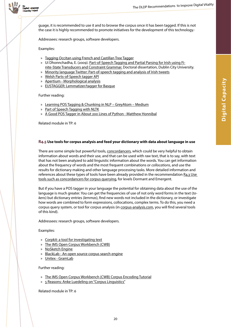

guage, it is recommended to use it and to browse the corpus once it has been tagged. If this is not the case it is highly recommended to promote initiatives for the development of this technology.

Addressees: research groups, software developers.

Examples:

- » [Tagging Occitan using French and Castillan Tree Tagger](https://hal.archives-ouvertes.fr/hal-00986426)
- » Uí Dhonnchadha, E. (2009). [Part-of-Speech Tagging and Partial Parsing for Irish using Fi](http://doras.dcu.ie/2349/)[nite-State Transducers and Constraint Grammar.](http://doras.dcu.ie/2349/) Doctoral dissertation, Dublin City University.
- » [Minority language Twitter: Part-of-speech tagging and analysis of Irish tweets](http://www.computing.dcu.ie/~tlynn/W-NUT.pdf)
- » [Welsh Parts-of-Speech tagger API](http://techiaith.cymru/api/parts-of-speech-tagger-api/?lang=en)
- » [Apertium Morphological analysis](http://beta.apertium.org/index.eng.html?choice=eng#analyzation)
- » [EUSTAGGER: Lemmatizer/tagger for Basque](http://ixa2.si.ehu.es/eustagger/)

Further reading:

- » [Learning POS Tagging & Chunking in NLP GreyAtom Medium](https://medium.com/greyatom/learning-pos-tagging-chunking-in-nlp-85f7f811a8cb)
- » [Part of Speech Tagging with NLTK](https://pythonprogramming.net/part-of-speech-tagging-nltk-tutorial/)
- » [A Good POS Tagger in About 200 Lines of Python Matthew Honnibal](http://honnibal.wordpress.com/2013/09/11/a-good-part-of-speechpos-tagger-in-about-200-lines-of-python/)

Related module in TP: 6

#### <span id="page-19-0"></span>**R4.5 Use tools for corpus analysis and feed your dictionary with data about language in use**

There are some simple but powerful tools, [concordancers](https://en.wikipedia.org/wiki/Concordancer), which could be very helpful to obtain information about words and their use, and that can be used with raw text, that is to say, with text that has not been analyzed to add linguistic information about the words. You can get information about the frequency of words and the most frequent combinations or *collocations*, and use the results for dictionary making and other language processing tasks. More detailed information and references about these types of tools have been already provided in the recommendation R4.3 Use [tools such as concordancers for corpus querying,](https://docs.google.com/document/d/1cArJ3xxyosqQ5VV07haBBu1VbQ6wVB1sa4cMSgs51SA/edit#heading=h.khvkjxqblyd5) for levels Dormant and Emergent.

But if you have a POS tagger in your language the potential for obtaining data about the use of the language is much greater. You can get the frequencies of use of not only word forms in the text (*tokens*) but dictionary entries (*lemmas*), find new words not included in the dictionary, or investigate how words are combined to form expressions, collocations, complex terms. To do this, you need a corpus query system, or tool for corpus analysis (in [corpus-analysis.com,](https://corpus-analysis.com/) you will find several tools of this kind).

Addressees: research groups, software developers.

#### Examples:

- » [Corpkit: a tool for investigating text](https://interrogator.github.io/corpkit/)
- » [The IMS Open Corpus Workbench \(CWB\)](http://cwb.sourceforge.net/)
- » [NoSketch Engine](https://nlp.fi.muni.cz/trac/noske)
- » [BlackLab An open source corpus search engine](http://inl.github.io/BlackLab/index.html)
- » [Unitex GramLab](http://www-igm.univ-mlv.fr/~unitex)

#### Further reading:

- » [The IMS Open Corpus Workbench \(CWB\) Corpus Encoding Tutorial](http://cwb.sourceforge.net/files/CWB_Encoding_Tutorial.pdf)
- » [5 Reasons: Anke Luedeling on "Corpus Linguistics"](https://www.youtube.com/watch?v=21a-lOghoK0)

Related module in TP: 6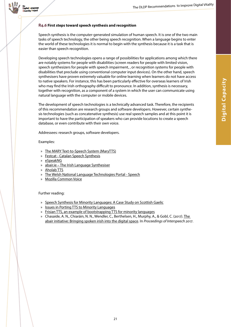

#### <span id="page-20-0"></span>**R4.6 First steps toward speech synthesis and recognition**

Speech synthesis is the computer-generated simulation of human speech. It is one of the two main tasks of speech technology, the other being speech recognition. When a language begins to enter the world of these technologies it is normal to begin with the synthesis because it is a task that is easier than speech recognition.

Developing speech technologies opens a range of possibilities for applications among which there are notably systems for people with disabilities (screen readers for people with limited vision, speech synthesizers for people with speech impairment, , or recognition systems for people with disabilities that preclude using conventional computer input devices). On the other hand, speech synthesisers have proven extremely valuable for online learning when learners do not have access to native speakers. For instance, this has been particularly effective for overseas learners of Irish who may find the Irish orthography difficult to pronounce. In addition, synthesis is necessary, together with recognition, as a component of a system in which the user can communicate using natural language with the computer or mobile devices.

The development of speech technologies is a technically advanced task. Therefore, the recipients of this recommendation are research groups and software developers. However, certain synthesis technologies (such as concatenative synthesis) use real speech samples and at this point it is important to have the participation of speakers who can provide locutions to create a speech database, or even contribute with their own voice.

Addressees: research groups, software developers.

#### Examples:

- » [The MARY Text-to-Speech System \(MaryTTS\)](http://mary.dfki.de/)
- » [Festcat Catalan Speech Synthesis](http://festcat.talp.cat/en/readme.php)
- » [eSpeakNG](https://github.com/espeak-ng/espeak-ng/)
- » [abair.ie The Irish Language Synthesiser](http://www.abair.tcd.ie/?page=synthesis&lang=eng)
- » [Aholab TTS](http://aholab.ehu.es/tts/)
- » [The Welsh National Language Technologies Portal Speech](http://www.abair.tcd.ie/?page=synthesis&lang=eng)
- » [Mozilla Common Voice](https://voice.mozilla.org/en)

#### Further reading:

- » [Speech Synthesis for Minority Languages: A Case Study on Scottish Gaelic](http://www.u.arizona.edu/~jjberry/ALC2.pdf)
- » [Issues in Porting TTS to Minority Languages](http://www.outsideecho.com/llsti/pubs/LREC_shalonova_tucker.pdf)
- » [Frisian TTS, an example of bootstrapping TTS for minority languages](https://scholar.google.com/scholar_url?url=http://www.isca-speech.org/archive_open/ssw5/ssw5_097.html&hl=en&sa=T&oi=gsb&ct=res&cd=0&ei=TFiiWr3hPISqmAHF-pLICA&scisig=AAGBfm02EX8ib17PJ7MEiF8Z5X7rbr9Hjw)
- » Chasaide, A. N., Chiaráin, N. N., Wendler, C., Berthelsen, H., Murphy, A., & Gobl, C. (2017). The [abair initiative: Bringing spoken irish into the digital space](https://www.isca-speech.org/archive/Interspeech_2017/pdfs/1407.PDF). In *Proceedings of Interspeech 2017*.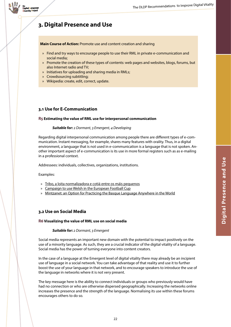

# **3. Digital Presence and Use**

**Main Course of Action:** Promote use and content creation and sharing

- » Find and try ways to encourage people to use their RML in private e-communication and social media;
- » Promote the creation of these types of contents: web pages and websites, blogs, forums, but also Internet radio and TV;
- » Initiatives for uploading and sharing media in RMLs;
- » Crowdsourcing subtitling;
- » Wikipedia: create, edit, correct, update.

## <span id="page-21-0"></span>**3.1 Use for E-Communication**

#### <span id="page-21-1"></span>**R5 Estimating the value of RML use for interpersonal communication**

#### *Suitable for: 2 Dormant, 3 Emergent, 4 Developing*

Regarding digital interpersonal communication among people there are different types of e-communication. Instant messaging, for example, shares many features with orality. Thus, in a digital environment, a language that is not used in e-communication is a language that is not spoken. Another important aspect of e-communication is its use in more formal registers such as as e-mailing in a professional context.

Addressees: individuals, collectives, organizations, institutions.

#### Examples:

- » [Tribo, a loita normalizadora e cotiá entre os máis pequenos](https://translate.google.es/translate?sl=gl&tl=en&js=y&prev=_t&hl=en&ie=UTF-8&u=http%3A%2F%2Fpraza.gal%2Fmovementos-sociais%2F6664%2Ftribo-a-loita-normalizadora-e-cotia-entre-os-mais-pequenos%2F&edit-text=&act=url)
- » [Campaign to use Welsh in the European Football Cup](http://www.mentrauiaith.cymru/newyddion/osian-roberts-yn-lansio-ymgyrch-y-bel-pasior-bale-dros-gymru/?lang=en)
- » [Mintzanet: an Option for Practicing the Basque Language Anywhere in the World](http://basquetribune.com/mintzanet-an-option-for-practicing-the-basque-language-anywhere-in-the-world/)

## <span id="page-21-2"></span>**3.2 Use on Social Media**

#### <span id="page-21-3"></span>**R6 Visualizing the value of RML use on social media**

#### *Suitable for: 2 Dormant, 3 Emergent*

Social media represents an important new domain with the potential to impact positively on the use of a minority language. As such, they are a crucial indicator of the digital vitality of a language. Social media has the power of turning everyone into content creators.

In the case of a language at the Emergent level of digital vitality there may already be an incipient use of language in a social network. You can take advantage of that reality and use it to further boost the use of your language in that network, and to encourage speakers to introduce the use of the language in networks where it is not very present.

The key message here is the ability to connect individuals or groups who previously would have had no connection or who are otherwise dispersed geographically. Increasing the networks online increases the presence and the strength of the language. Normalising its use within these forums encourages others to do so.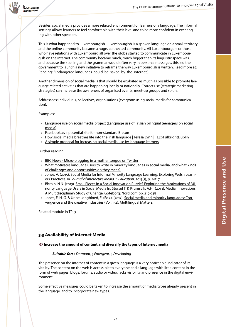

Besides, social media provides a more relaxed environment for learners of a language. The informal settings allows learners to feel comfortable with their level and to be more confident in exchanging with other speakers.

This is what happened to Luxembourgish. Luxembourgish is a spoken language on a small territory and the online community became a huge, connected community. All Luxembourgers or those who have relations with Luxembourg all over the globe started to communicate in Luxembourgish on the internet. The community became much, much bigger than its linguistic space was, and because the spelling and the grammar would often vary in personal messages, this led the government to launch a new initiative to reframe the way Luxembourgish is written. Read more at: [Reading:](https://www.euractiv.com/section/languages-culture/interview/reding-endangered-languages-could-be-saved-by-the-internet/)['Endangered languages](https://www.euractiv.com/section/languages-culture/interview/reding-endangered-languages-could-be-saved-by-the-internet/)[could](https://www.euractiv.com/section/languages-culture/interview/reding-endangered-languages-could-be-saved-by-the-internet/)[be](https://www.euractiv.com/section/languages-culture/interview/reding-endangered-languages-could-be-saved-by-the-internet/)[saved](https://www.euractiv.com/section/languages-culture/interview/reding-endangered-languages-could-be-saved-by-the-internet/)[by](https://www.euractiv.com/section/languages-culture/interview/reding-endangered-languages-could-be-saved-by-the-internet/)[the](https://www.euractiv.com/section/languages-culture/interview/reding-endangered-languages-could-be-saved-by-the-internet/)[internet'](https://www.euractiv.com/section/languages-culture/interview/reding-endangered-languages-could-be-saved-by-the-internet/).

Another dimension of social media is that should be exploited as much as possible to promote language related activities that are happening locally or nationally. Correct use (strategic marketing strategies) can increase the awareness of organised events, meet-up groups and so on.

Addressees: individuals, collectives, organisations (everyone using social media for communication).

Examples:

- » [Language use on social media p](https://www.mercator-research.eu/projekten/project-storage/language-use-on-social-media/)roject [\(Language use of Frisian bilingual teenagers on social](https://www.mercator-research.eu/fileadmin/mercator/documents/publications/2016_-_Jongbloed-Faber_et_al._-_Language_use_of_Frisian_bilingual_teenagers_on_social_media.pdf)  [media](https://www.mercator-research.eu/fileadmin/mercator/documents/publications/2016_-_Jongbloed-Faber_et_al._-_Language_use_of_Frisian_bilingual_teenagers_on_social_media.pdf))
- » [Facebook as a potential site for non-standard Breton](https://www.academia.edu/32907045/Facebook_as_a_potential_site_for_non-standard_Breton?auto=download)
- » [How social media breathes life into the Irish language | Teresa Lynn | TEDxFulbrightDublin](https://www.youtube.com/watch?v=LM3ISST2eg8)
- » [A simple proposal for increasing social media use by language learners](https://medium.com/@lackaff/a-simple-proposal-for-increasing-social-media-use-by-language-learners-1fadf2649e3d)

#### Further reading:

- » [BBC News Micro-blogging in a mother tongue on Twitter](http://news.bbc.co.uk/2/hi/programmes/click_online/9450488.stm)
- » [What motivates language users to write in minority languages in social media, and what kinds](https://site.uit.no/some/2017/05/02/what-motivates-language-users-to-write-in-minority-languages-in-social-media-and-what-kinds-of-challenges-and-opportunities-do-they-meet/)  [of challenges and opportunities do they meet?](https://site.uit.no/some/2017/05/02/what-motivates-language-users-to-write-in-minority-languages-in-social-media-and-what-kinds-of-challenges-and-opportunities-do-they-meet/)
- » Jones, A. (2015). [Social Media for Informal Minority Language Learning: Exploring Welsh Learn](http://doi.org/10.5334/jime.ak)[ers' Practices.](http://doi.org/10.5334/jime.ak) In *Journal of Interactive Media in Education*. 2015(1), p. Art. 7
- » Bhroin, N.N. (2013). [Small Pieces in a Social Innovation Puzzle? Exploring the Motivations of Mi](http://citeseerx.ist.psu.edu/viewdoc/download?doi=10.1.1.734.2727&rep=rep1&type=pdf#page=221)[nority Language Users in Social Media](http://citeseerx.ist.psu.edu/viewdoc/download?doi=10.1.1.734.2727&rep=rep1&type=pdf#page=221) In, Storsul T. & Krumsvik, A.H. (2013). [Media Innovations:](http://www.nordicom.gu.se/sites/default/files/publikationer-hela-pdf/media_innovations._a_miltidisciplinary_study_of_change.pdf)  [A Multidisciplinary Study of Change.](http://www.nordicom.gu.se/sites/default/files/publikationer-hela-pdf/media_innovations._a_miltidisciplinary_study_of_change.pdf) Göteborg: Nordicom pp. 219-238
- » Jones, E. H. G. & Uribe-Jongbloed, E. (Eds.). (2012). [Social media and minority languages: Con](https://books.google.es/books/about/Social_Media_and_Minority_Languages.html?id=NaVr-sc2BZQC&redir_esc=y)[vergence and the creative industries](https://books.google.es/books/about/Social_Media_and_Minority_Languages.html?id=NaVr-sc2BZQC&redir_esc=y) (Vol. 152). Multilingual Matters.

Related module in TP: 3

## <span id="page-22-0"></span>**3.3 Availability of Internet Media**

#### <span id="page-22-1"></span>**R7 Increase the amount of content and diversify the types of Internet media**

#### *Suitable for: 2 Dormant, 3 Emergent, 4 Developing*

The presence on the internet of content in a given language is a very noticeable indicator of its vitality. The content on the web is accessible to everyone and a language with little content in the form of web pages, blogs, forums, audio or video, lacks visibility and presence in the digital environment.

Some effective measures could be taken to increase the amount of media types already present in the language, and to incorporate new types.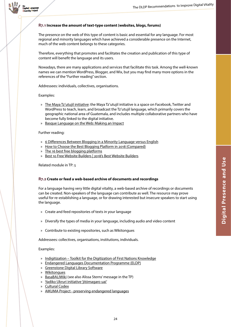

#### <span id="page-23-0"></span>**R7.1 Increase the amount of text-type content (websites, blogs, forums)**

The presence on the web of this type of content is basic and essential for any language. For most regional and minority languages which have achieved a considerable presence on the Internet, much of the web content belongs to these categories.

Therefore, everything that promotes and facilitates the creation and publication of this type of content will benefit the language and its users.

Nowadays, there are many applications and services that facilitate this task. Among the well-known names we can mention WordPress, Blogger, and Wix, but you may find many more options in the references of the "Further reading" section.

Addressees: individuals, collectives, organisations.

#### Examples:

- » [The Maya Tz'utujil initiative:](https://rising.globalvoices.org/indigenous-language-digital-activism/maya-tzutujil/%7D%7BThe Maya Tz%E2%80%99utujil initiative) the Maya Tz'utujil initiative is a space on Facebook, Twitter and WordPress to teach, learn, and broadcast the Tz'utujil language, which primarily covers the geographic national area of Guatemala, and includes multiple collaborative partners who have become fully linked to the digital initiative.
- » [Basque Language on the Web: Making an Impact](http://basquetribune.com/lost-in-translation/)

#### Further reading:

- » [6 Differences Between Blogging in a Minority Language versus English](https://whistlinginthewind.org/2017/01/19/6-differences-between-blogging-in-a-minority-language-versus-english/)
- » [How to Choose the Best Blogging Platform in 2018 \(Compared\)](https://www.wpbeginner.com/beginners.../how-to-choose-the-best-blogging-platform/)
- » [The 16 best free blogging platforms](https://www.creativebloq.com/web-design/best-blogging-platforms-121413634)
- » [Best 10 Free Website Builders | 2018's Best Website Builders](https://www.thebest10websitebuilders.com/)

Related module in TP: 5

#### <span id="page-23-1"></span>**R7.2 Create or feed a web-based archive of documents and recordings**

For a language having very little digital vitality, a web-based archive of recordings or documents can be created. Non-speakers of the language can contribute as well. The resource may prove useful for re-establishing a language, or for drawing interested but insecure speakers to start using the language.

- » Create and feed repositories of texts in your language
- » Diversify the types of media in your language, including audio and video content
- » Contribute to existing repositories, such as Wikitongues

Addressees: collectives, organisations, institutions, individuals.

#### Examples:

- » [Indigitization Toolkit for the Digitization of First Nations Knowledge](http://www.indigitization.ca)
- » [Endangered Languages Documentation Programme \(ELDP\)](http://www.eldp.net/)
- » [Greenstone Digital Library Software](http://www.greenstone.org/)
- » [Wikitongues](https://wikitongues.org/)
- » [BasaBALIWiki](http://dictionary.basabali.org/) (see also Alissa Sterns' message in the TP)
- » [Yadiko Ukruri initiative 'jitómagaro uai'](https://rising.globalvoices.org/indigenous-language-digital-activism/yadiko-jitomagaro/)
- » [Cultural Codex](https://culturalcodex.com)
- » [AIKUMA Project preserving endangered languages](http://www.aikuma.org)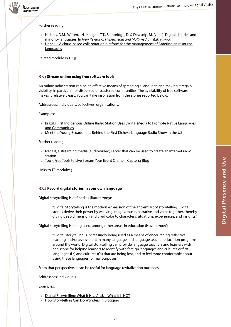

Further reading:

<sub>the</sub><br>Digital <mark>Language</mark><br>Diversity Project versity Project

- » Nichols, D.M., Witten, I.H., Keegan, T.T., Bainbridge, D. & Dewsnip, M. (2005). [Digital libraries and](https://researchcommons.waikato.ac.nz/bitstream/handle/10289/1822/nichols-nrhm-2005.pdf?sequence=2&isAllowed=y)  [minority languages.](https://researchcommons.waikato.ac.nz/bitstream/handle/10289/1822/nichols-nrhm-2005.pdf?sequence=2&isAllowed=y) In *New Review of Hypermedia and Multimedia*, 11(2), 139-155
- » [Nenek](http://www.nenek.mx/nenekdev/) [–](https://www.udemy.com/video-production/) [A cloud-based collaboration platform for the management of Amerindian resource](http://www.nenek.mx/nenekdev/)  **[languages](http://www.nenek.mx/nenekdev/)**

Related module in TP: 5

#### <span id="page-24-0"></span>**R7.3 Stream online using free software tools**

An online radio station can be an effective means of spreading a language and making it regain visibility, in particular for dispersed or scattered communities. The availability of free software makes it relatively easy. You can take inspiration from the stories reported below.

Addressees: individuals, collectives, organisations.

Examples:

- » [Brazil's First Indigenous Online Radio Station Uses Digital Media to Promote Native Languages](https://rising.globalvoices.org/blog/2017/08/09/brazils-first-indigenous-online-radio-station-uses-digital-media-to-promote-native-languages-and-communities/)  [and Communities](https://rising.globalvoices.org/blog/2017/08/09/brazils-first-indigenous-online-radio-station-uses-digital-media-to-promote-native-languages-and-communities/)
- » [Meet the Young Ecuadorians Behind the First Kichwa-Language Radio Show in the US](https://globalvoices.org/2017/01/25/meet-the-young-ecuadorians-behind-the-first-kichwa-language-radio-show-in-the-us/)

Further reading:

- » [Icecast,](http://www.icecast.org) a streaming media (audio/video) server that can be used to create an Internet radio station.
- » [Top 5 Free Tools to Live Stream Your Event Online](https://blog.capterra.com/free-live-stream-tools-event/) [–](https://www.udemy.com/video-production/) [Capterra Blog](https://blog.capterra.com/free-live-stream-tools-event/)

Links to TP module: 5

#### <span id="page-24-1"></span>**R7.4 Record digital stories in your own language**

Digital storytelling is defined as (Barret, 2005):

"Digital Storytelling is the modern expression of the ancient art of storytelling. Digital stories derive their power by weaving images, music, narrative and voice together, thereby giving deep dimension and vivid color to characters, situations, experiences, and insights."

Digital storytelling is being used, among other areas, in education (Hoven, 2009):

"Digital storytelling is increasingly being used as a means of encouraging reflective learning and/or assessment in many language and language teacher education programs around the world. Digital storytelling can provide language teachers and learners with rich scope for helping learners to identify with foreign languages and cultures or first languages ( $L_1$ ) and cultures ( $C_1$ ) that are being lost, and to feel more comfortable about using these languages for real purposes."

From that perspective, it can be useful for language revitalization purposes.

Addressees: individuals.

Examples:

- » [Digital Storytelling: What it is… And… What it is NOT](http://langwitches.org/blog/2015/08/18/digital-storytelling-what-it-is-and-what-it-is-not/)
- » [How Storytelling Can Do Wonders in Blogging](http://www.kumailhemani.com/storytelling-blogging/)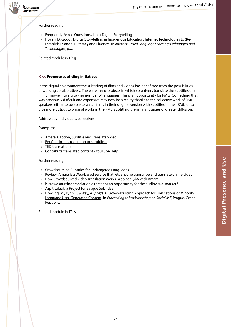

Further reading:

- » [Frequently-Asked Questions about Digital Storytelling](http://electronicportfolios.org/digistory/faq.html)
- » Hoven, D. (2009). [Digital Storytelling in Indigenous Education: Internet Technologies to \(Re-\)](https://books.google.es/books?hl=en&lr=&id=kQ1dAgAAQBAJ&oi=fnd&pg=PA47&dq=debra+hoven+storytelling&ots=e6UpsMuxxj&sig=bo3_fM68bg5N0pJYmIy67yKpNmA)  [Establish L1 and C1 Literacy and Fluency.](https://books.google.es/books?hl=en&lr=&id=kQ1dAgAAQBAJ&oi=fnd&pg=PA47&dq=debra+hoven+storytelling&ots=e6UpsMuxxj&sig=bo3_fM68bg5N0pJYmIy67yKpNmA)  In *Internet-Based Language Learning: Pedagogies and Technologies*, p.47.

Related module in TP: 5

#### <span id="page-25-0"></span>**R7.5 Promote subtitling initiatives**

In the digital environment the subtitling of films and videos has benefitted from the possibilities of working collaboratively. There are many projects in which volunteers translate the subtitles of a film or movie into a growing number of languages. This is an opportunity for RMLs. Something that was previously difficult and expensive may now be a reality thanks to the collective work of RML speakers, either to be able to watch films in their original version with subtitles in their RML, or to give more output to original works in the RML, subtitling them in languages of greater diffusion.

Addressees: individuals, collectives.

Examples:

- » [Amara: Caption, Subtitle and Translate Video](https://amara.org)
- » [PerMondo](http://www.permondo.eu/volunteers/introduction-to-subtitling/) [–](https://www.udemy.com/video-production/) [Introduction to subtitling](http://www.permondo.eu/volunteers/introduction-to-subtitling/)
- » [TED translations](https://www.ted.com/participate/translate/get-started)
- » [Contribute translated content YouTube Help](https://support.google.com/youtube/answer/6054623?hl=en)

Further reading:

- » [Crowdsourcing Subtitles for Endangered Languages](https://blog.nationalgeographic.org/2014/09/16/crowdsourcing-subtitles-for-endangered-languages/)
- » [Review: Amara is a Web-based service that lets anyone transcribe and translate online video](https://www.pcworld.com/article/2032787/review-amara-is-a-web-based-service-that-lets-anyone-transcribe-and-translate-online-video.html)
- » [How Crowdsourced Video Translation Works: Webinar Q&A with Amara](http://www.3playmedia.com/2015/09/21/how-crowdsourced-video-translation-works-webinar-qa-with-amara/)
- » [Is crowdsourcing translation a threat or an opportunity for the audiovisual market?](http://termcoord.eu/2017/04/is-crowdsourcing-translation-a-threat-or-an-opportunity-for-the-audiovisual-market/)
- » [Azpitituluak, a Project for Basque Subtitles](http://basquetribune.com/azpitituluak-a-project-for-basque-subtitles/)
- » Dowling, M., Lynn, T. & Way, A. (2017). A Crowd-sourcing Approach for Translations of Minority [Language User-Generated Content.](https://www.researchgate.net/publication/317411709_A_Crowd-sourcing_Approach_for_Translations_of_Minority_Language_User-Generated_Content_UGC) In *Proceedings of 1st Workshop on Social MT*, Prague, Czech Republic.

Related module in TP: 5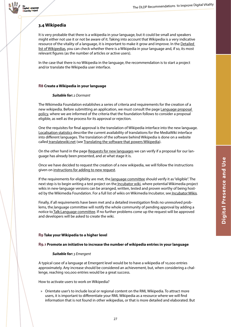

# <span id="page-26-0"></span>**3.4 Wikipedia**

It is very probable that there is a wikipedia in your language, but it could be small and speakers might either not use it or not be aware of it. Taking into account that Wikipedia is a very indicative resource of the vitality of a language, it is important to make it grow and improve. In the Detailed [list of Wikipedias,](https://en.wikipedia.org/wiki/List_of_Wikipedias#Detailed_list) you can check whether there is a Wikipedia in your language and, if so, its most relevant figures (as the number of articles or active users).

In the case that there is no Wikipedia in the language, the recommendation is to start a project and/or translate the Wikipedia user interface.

#### <span id="page-26-1"></span>**R8 Create a Wikipedia in your language**

#### *Suitable for: 2 Dormant*

The Wikimedia Foundation establishes a series of criteria and requirements for the creation of a new wikipedia. Before submitting an application, we must consult the page [Language proposal](https://meta.wikimedia.org/wiki/Language_proposal_policy)  [policy](https://meta.wikimedia.org/wiki/Language_proposal_policy), where we are informed of the criteria that the foundation follows to consider a proposal eligible, as well as the process for its approval or rejection.

One the requisites for final approval is the translation of Wikipedia interface into the new language. [Localisation statistics](https://www.mediawiki.org/wiki/Localisation_statistics) describe the current availability of translations for the MediaWiki interface into different languages. The translation of the software behind Wikipedia is done on a website called [translatewiki.net](https://translatewiki.net/) (see [Translating the software that powers Wikipedia\)](https://medium.com/r12n/translating-the-software-that-powers-wikipedia-c00733503f7a).

On the other hand in the page [Requests for new languages](https://meta.wikimedia.org/wiki/Requests_for_new_languages) we can verify if a proposal for our language has already been presented, and at what stage it is.

Once we have decided to request the creation of a new wikipedia, we will follow the instructions given on [instructions for adding to new request.](https://meta.wikimedia.org/wiki/Language_committee/Handbook_(requesters)#Making_a_new_request)

If the requirements for eligibility are met, the [language committee](https://meta.wikimedia.org/wiki/Special:MyLanguage/language_committee) should verify it as "eligible". The next step is to begin writing a test project on the *Incubator wiki*, where potential Wikimedia project wikis in new-language versions can be arranged, written, tested and proven worthy of being hosted by the Wikimedia Foundation. For a full list of wikis on Wikimedia Incubator, see Incubator: Wikis.

Finally, if all requirements have been met and a detailed investigation finds no unresolved problems, the [l](https://meta.wikimedia.org/wiki/Special:MyLanguage/language_committee)anguage committee will notify the whole community of pending approval by adding a notice to Talk: Language committee. If no further problems come up the request will be approved and developers will be asked to create the wiki.

#### <span id="page-26-2"></span>**R9 Take your Wikipedia to a higher level**

#### <span id="page-26-3"></span>**R9.1 Promote an initiative to increase the number of wikipedia entries in your language**

#### *Suitable for: 3 Emergent*

A typical case of a language at Emergent level would be to have a wikipedia of 10,000 entries approximately. Any increase should be considered an achievement, but, when considering a challenge, reaching 100,000 entries would be a great success.

How to activate users to work on Wikipedia?

» Orientate user's to include local or regional content on the RML Wikipedia. To attract more users, it is important to differentiate your RML Wikipedia as a resource where we will find information that is not found in other wikipedias, or that is more detailed and elaborated. But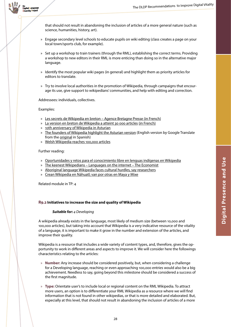

that should not result in abandoning the inclusion of articles of a more general nature (such as science, humanities, history, art).

- » Engage secondary level schools to educate pupils on wiki editing (class creates a page on your local town/sports club, for example).
- » Set up a workshop to train trainers (through the RML), establishing the correct terms. Providing a workshop to new editors in their RML is more enticing than doing so in the alternative major language.
- » Identify the most popular wiki pages (in general) and highlight them as priority articles for editors to translate.
- » Try to involve local authorities in the promotion of Wikipedia, through campaigns that encourage its use, give support to wikipedians' communities, and help with editing and correction.

Addressees: individuals, collectives.

Examples:

- » [Les secrets de Wikipedia en breton](https://www.google.es/url?sa=t&rct=j&q=&esrc=s&source=web&cd=1&ved=0ahUKEwiOu5KZ8vDYAhUTsBQKHcyJBFEQFggnMAA&url=https%3A%2F%2Fabp.bzh%2Fles-secrets-de-wikipedia-en-breton-18997&usg=AOvVaw0KOySXecdJdxfH0IMrHfRt) [–](https://www.udemy.com/video-production/) [Agence Bretagne Presse \(in French\)](https://www.google.es/url?sa=t&rct=j&q=&esrc=s&source=web&cd=1&ved=0ahUKEwiOu5KZ8vDYAhUTsBQKHcyJBFEQFggnMAA&url=https%3A%2F%2Fabp.bzh%2Fles-secrets-de-wikipedia-en-breton-18997&usg=AOvVaw0KOySXecdJdxfH0IMrHfRt)
- » [La version en breton de Wikipedia a atteint 30 000 articles](http://www.agencebretagnepresse.com/fetch.php?id=16510) [\(in French\)](https://www.google.es/url?sa=t&rct=j&q=&esrc=s&source=web&cd=1&ved=0ahUKEwiOu5KZ8vDYAhUTsBQKHcyJBFEQFggnMAA&url=https%3A%2F%2Fabp.bzh%2Fles-secrets-de-wikipedia-en-breton-18997&usg=AOvVaw0KOySXecdJdxfH0IMrHfRt)
- » [10th anniversary of Wikipedia in Asturian](http://blog.wikimedia.org/2014/11/18/10th-anniversary-wikipedia-asturian/)
- » [The founders of Wikipedia highlight the Asturian version](https://translate.google.es/translate?sl=es&tl=en&js=y&prev=_t&hl=en&ie=UTF-8&u=https%3A%2F%2Fwww.lne.es%2Fsociedad-cultura%2F2015%2F10%2F22%2Ffundadores-wikipedia-destacan-version-asturiano%2F1830529.html&edit-text=&authuser=0) (English version by Google Translate from the [original](http://www.lne.es/sociedad-cultura/2015/10/22/fundadores-wikipedia-destacan-version-asturiano/1830529.html) in Spanish)
- » [Welsh Wikipedia reaches 100,000 articles](https://blog.wikimedia.org.uk/2018/03/welsh-wikipedia-reaches-100000-articles/)

Further reading:

- » [Oportunidades y retos para el conocimiento libre en lenguas indígenas en Wikipedia](https://upload.wikimedia.org/wikipedia/commons/e/ee/Informe_Wikipedia_Lenguas_Indigenas.pdf)
- » [The keenest Wikipedians](https://www.economist.com/blogs/johnson/2013/03/languages-internet) [–](https://www.udemy.com/video-production/) [Languages on the internet](https://www.economist.com/blogs/johnson/2013/03/languages-internet) [–](https://www.udemy.com/video-production/) [The Economist](https://www.economist.com/blogs/johnson/2013/03/languages-internet)
- » [Aboriginal language Wikipedia faces cultural hurdles, say researchers](https://www.theguardian.com/australia-news/2015/may/26/aboriginal-language-wikipedia-faces-cultural-hurdles-say-researchers)
- » [Crean Wikipedia en Náhuatl; van por otras en Maya y Mixe](http://www.poblanerias.com/2014/10/crean-wikipedia-en-nahuatl-van-por-otras-en-maya-y-mixe/)

Related module in TP: 4

#### <span id="page-27-0"></span>**R9.2 Initiatives to increase the size and quality of Wikipedia**

#### *Suitable for: 4 Developing*

A wikipedia already exists in the language, most likely of medium size (between 10,000 and 100,000 articles), but taking into account that Wikipedia is a very indicative resource of the vitality of a language, it is important to make it grow in the number and extension of the articles, and improve their quality.

Wikipedia is a resource that includes a wide variety of content types, and, therefore, gives the opportunity to work in different areas and aspects to improve it. We will consider here the followings characteristics relating to the articles:

- » **Number:** Any increase should be considered positively, but, when considering a challenge for a Developing language, reaching or even approaching 100,000 entries would also be a big achievement. Needless to say, going beyond this milestone should be considered a success of the first magnitude.
- » **Type:** Orientate user's to include local or regional content on the RML Wikipedia. To attract more users, an option is to differentiate your RML Wikipedia as a resource where we will find information that is not found in other wikipedias, or that is more detailed and elaborated. But, especially at this level, that should not result in abandoning the inclusion of articles of a more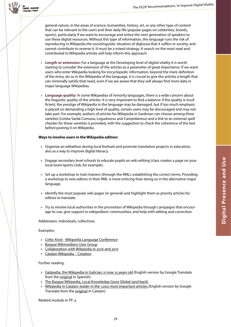Digital Language versity Project

> general nature, in the areas of science, humanities, history, art, or any other type of content that can be relevant to the users and their daily life (popular pages on celebrities, brands, sports), particularly if we want to encourage and entice the next generation of speakers to use these digital resources. Without this type of information, the language runs the risk of reproducing in Wikipedia the sociolinguistic situation of diglossia that it suffers in society, and cannot contribute to reverse it. It must be a mixed strategy. A search on the most read and contributed to Wikipedia articles will help inform this approach.

- » **Length or extension:** For a language at the Developing level of digital vitality it is worth starting to consider the extension of the articles as a parameter of great importance. If we want users who enter Wikipedia looking for encyclopedic information, beyond the mere definition of the entry, do so in the Wikipedia of the language, it is crucial to give the articles a length that can minimally satisfy that need, even if we are aware that they will always find more data in major language Wikipedias.
- » **Language quality:** In some Wikipedias of minority languages, there is a wide concern about the linguistic quality of the articles. It is very important to find a balance: if the quality is insufficient, the prestige of Wikipedia in the language may be damaged, but if too much emphasis is placed on demanding a high level of quality, certain users may be discouraged and may not take part. For example, authors of articles for Wikipedia in Sardinian can choose among three varieties (Limba Sarda Comuna, Logudoresu and Campidanesu) and a link to an external spell checker for these varieties is provided, with the suggestion to check the coherence of the text before posting it on Wikipedia.

#### **Ways to involve users in the Wikipedia edition:**

- » Organize an editathon during local festivals and promote translation projects in education, also as a way to improve digital literacy.
- » Engage secondary level schools to educate pupils on wiki editing (class creates a page on your local town/sports club, for example).
- » Set up a workshop to train trainers (through the RML), establishing the correct terms. Providing a workshop to new editors in their RML is more enticing than doing so in the alternative major language.
- » Identify the most popular wiki pages (in general) and highlight them as priority articles for editors to translate.
- » Try to involve local authorities in the promotion of Wikipedia through campaigns that encourage its use, give support to wikipedians' communities, and help with editing and correction.

Addressees: individuals, collectives.

#### Examples:

- » [Celtic Knot Wikipedia Language Conference](https://wikimedia.org.uk/wiki/Celtic_Knot_Conference_2018)
- » [Basque Wikimedians User Group](https://meta.wikimedia.org/wiki/Basque_Wikimedians_User_Group)
- » [Collaboration with Wikipedia in 2016 and 2017](http://www.ehu.eus/ehusfera/ifbloga/2017/04/10/collaboration-with-wikipedia-in-2016-and-2017/)
- » [Catalan Wikipedia Creation](https://en.wikipedia.org/wiki/Catalan_Wikipedia#Creation)

#### Further reading:

- » [Galipedia, the Wikipedia in Galician, is now 15 years old](https://translate.google.es/translate?sl=es&tl=en&js=y&prev=_t&hl=en&ie=UTF-8&u=https%3A%2F%2Fvoltaico.lavozdegalicia.es%2F2018%2F03%2Fgalipedia-15-aniversario%2F&edit-text=&authuser=0) (English version by Google Translate from the [original](https://voltaico.lavozdegalicia.es/2018/03/galipedia-15-aniversario/) in Spanish)
- » [The Basque Wikipedia, Local Knowledge Gone Global \(and back](http://basquetribune.com/the-basque-wikipedia-local-knowledge-gone-global-and-back/))
- » [Wikipedia in Catalan, leader in the 1,000 most important articles](https://translate.google.es/translate?sl=ca&tl=en&js=y&prev=_t&hl=en&ie=UTF-8&u=https%3A%2F%2Fwww.elperiodico.cat%2Fca%2Ftecnologia%2F20160112%2Fla-viquipedia-en-catala-lider-en-els-1000-articles-mes-importants-abans-del-15e-aniversari-4809197&edit-text=&authuser=0) (English version by Google Translate from the [original](https://www.elperiodico.cat/ca/tecnologia/20160112/la-viquipedia-en-catala-lider-en-els-1000-articles-mes-importants-abans-del-15e-aniversari-4809197) in Catalan)

29

Related module in TP: 4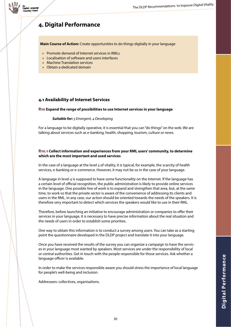

# **4. Digital Performance**

**Main Course of Action:** Create opportunities to do things digitally in your language

- » Promote demand of Internet services in RMLs
- » Localisation of software and users interfaces
- » Machine Translation services
- » Obtain a dedicated domain

## <span id="page-29-0"></span>**4.1 Availability of Internet Services**

#### <span id="page-29-1"></span>**R10 Expand the range of possibilities to use Internet services in your language**

#### *Suitable for: 3 Emergent, 4 Developing*

For a language to be digitally operative, it is essential that you can "do things" on the web. We are talking about services such as e-banking, health, shopping, tourism, culture or news.

#### <span id="page-29-2"></span>**R10.1 Collect information and experiences from your RML users' community, to determine which are the most important and used services**

In the case of a language at the level 3 of vitality, it is typical, for example, the scarcity of health services, e-banking or e-commerce. However, it may not be so in the case of your language.

A language in level 4 is supposed to have some functionality on the internet. If the language has a certain level of official recognition, the public administration is likely to provide online services in the language. One possible line of work is to expand and strengthen that area, but, at the same time, to work so that the private sector is aware of the convenience of addressing its clients and users in the RML. In any case, our action should be oriented towards the needs of the speakers. It is therefore very important to detect which services the speakers would like to use in their RML.

Therefore, before launching an initiative to encourage administration or companies to offer their services in your language, it is necessary to have precise information about the real situation and the needs of users in order to establish some priorities.

One way to obtain this information is to conduct a survey among users. You can take as a starting point the questionnaire developed in the DLDP project and translate it into your language.

Once you have received the results of the survey you can organize a campaign to have the services in your language most wanted by speakers. Most services are under the responsibility of local or central authorities. Get in touch with the people responsible for those services. Ask whether a language officer is available.

In order to make the services responsible aware you should stress the importance of local language for people's well-being and inclusion.

Addressees: collectives, organisations.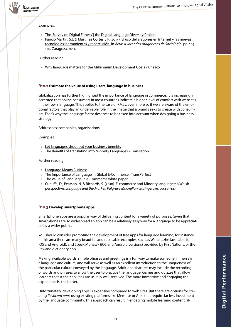

#### Examples:

- » [The 'Survey on Digital Fitness' | the Digital Language Diversity Project](http://www.dldp.eu/en/content/survey-digital-fitness)
- » Paricio Martín, S.J. & Martínez Cortés, J.P. (2014). El uso del aragonés en Internet y las nuevas [tecnologías: herramientas y repercusión](http://www.aragonsociologia.org/app/download/5802911759/EL%2BUSO%2BDEL%2BARAGON%24C3%2489S%2BEN%2BINTERNET%2BY%2BLAS%2BNUEVAS%2BTECNOLOG%24C3%248DAS.pdf). In *Actas II Jornadas Aragonesas de Sociología.* pp. 105- 120. Zaragoza, 2014.

Further reading:

» [Why language matters for the Millennium Development Goals - Unesco](http://unesdoc.unesco.org/images/0021/002195/219521E.pdf)

#### <span id="page-30-0"></span>**R10.2 Estimate the value of using users' language in business**

Globalization has further highlighted the importance of language in commerce. It is increasingly accepted that online consumers in most countries indicate a higher level of comfort with websites in their own language. This applies to the case of RMLs, even more so if we are aware of the emotional factors that play an undeniable role in the image that a brand seeks to create with consumers. That's why the language factor deserves to be taken into account when designing a business strategy.

Addressees: companies, organisations.

Examples:

- » [Let languages shout out your business benefits](https://www.theguardian.com/small-business-network/2016/jun/20/let-languages-shout-out-your-business-benefits)
- » [The Benefits of Translating into Minority Languages](http://blog.globalizationpartners.com/the-benefits-of-translating-into-minority-languages.aspx) [–](https://www.udemy.com/video-production/) [Translation](http://blog.globalizationpartners.com/the-benefits-of-translating-into-minority-languages.aspx)

#### Further reading:

- » [Language Means Business](https://www.strategy-business.com/advertorial/Rosetta-Stone-Language-Means-Business?gko=126ea)
- » [The Importance of Language in Global E-Commerce | TransPerfect](http://www.transperfect.com/blog/importance-language-global-e-commerce)
- » [The Value of Language in e-Commerce white paper](https://www.capitatranslationinterpreting.com/wp-content/uploads/2014/09/Capita-TI-WHITE-PAPER-The-Value-of-Language-in-Ecommerce-SEPT-2014.pdf)
- » Cunliffe, D., Pearson, N. & Richards, S. (2010). E-commerce and Minority languages: a Welsh perspective. *Language and the Market, Palgrave Macmillan, Basingstoke*, pp.135-147.

#### <span id="page-30-1"></span>**R10.3 Develop smartphone apps**

Smartphone apps are a popular way of delivering content for a variety of purposes. Given that smartphones are so widespread an app can be a relatively easy way for a language to be appreciated by a wider public.

You should consider promoting the development of free apps for language learning, for instance. In this area there are many beautiful and replicable examples, such as Wahzhazhe (available for [iOS](https://itunes.apple.com/us/app/wahzhazhe/id1303269434?mt=8) and [Android\)](https://play.google.com/store/apps/details?id=com.languagepal.osageandroid&hl=it), and Speak Mohawk ([iOS](https://itunes.apple.com/us/app/speak-mohawk/id1281679652?mt=8) and [Android](https://play.google.com/store/apps/details?id=com.languagepal.mohawkandroid&hl=it) versions) provided by First Nations, or the Rawang dictionary app.

Making available words, simple phrases and greetings is a fun way to make someone immerse in a language and culture, and will serve as well as an excellent introduction to the uniqueness of the particular culture conveyed by the language. Additional features may include the recording of words and phrases to allow the user to practice the language. Games and quizzes that allow learners to test their abilities are usually well-received. The more immersive and engaging the experience is, the better.

Unfortunately, developing apps is expensive compared to web sites. But there are options for creating *flashcard apps* using existing platforms like Memrise or Anki that require far less investment by the language community. This approach can result in engaging mobile learning content, al-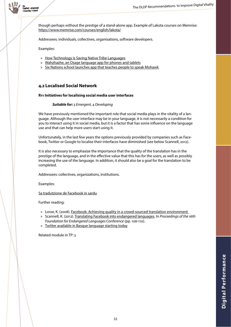

though perhaps without the prestige of a stand-alone app. Example of Lakota courses on Memrise[:](https://www.memrise.com/courses/english/lakota/) <https://www.memrise.com/courses/english/lakota/>

Addressees: individuals, collectives, organisations, software developers.

Examples:

- » [How Technology is Saving Native Tribe Language](https://www.youtube.com/watch?v=pPBI8oUXZ8Q)s
- » [Wahzhazhe, an Osage language app for phones and tablets](http://newsok.com/article/5577840?utm_source=NewsOK.com&utm_medium=Social&utm_campaign=ShareBar-Twitter)
- » [Six Nations school launches app that teaches people to speak Mohawk](http://www.cbc.ca/news/canada/hamilton/mohawk-language-app-1.4407431)

#### <span id="page-31-0"></span>**4.2 Localised Social Network**

#### <span id="page-31-1"></span>**R11 Initiatives for localising social media user interfaces**

#### *Suitable for: 3 Emergent, 4 Developing*

We have previously mentioned the important role that social media plays in the vitality of a language. Although the user interface may be in your language, it is not necessarily a condition for you to interact using it in social media, but it is a factor that has some influence on the language use and that can help more users start using it.

Unfortunately, in the last few years the options previously provided by companies such as Facebook, Twitter or Google to localise their interfaces have diminished (see below Scannell, 2012).

It is also necessary to emphasize the importance that the quality of the translation has in the prestige of the language, and in the effective value that this has for the users, as well as possibly increasing the use of the language. In addition, it should also be a goal for the translation to be completed.

Addressees: collectives, organizations, institutions.

Examples:

[Sa tradutzione de Facebook in sardu](https://doi.org/10.5565/rev/tradumatica.179)

Further reading:

- » Losse, K. (2008). [Facebook: Achieving quality in a crowd-sourced translation environment](https://www.youtube.com/watch?v=os5OjH_yPoo)
- » Scannell, K. (2012). [Translating Facebook into endangered languages.](http://cs.slu.edu/~scannell/pub/fel12.pdf) In *Proceedings of the 16th Foundation for Endangered Languages Conference* (pp. 106-110).
- » [Twitter available in Basque language starting today](https://www.eitb.eus/en/news/technology/detail/918791/twitter-basque--twitter-is-available-basque-language-today/)

Related module in TP: 3

32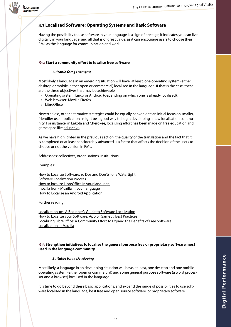

# <span id="page-32-0"></span>**4.3 Localised Software: Operating Systems and Basic Software**

Having the possibility to use software in your language is a sign of prestige, it indicates you can live digitally in your language, and all that is of great value, as it can encourage users to choose their RML as the language for communication and work.

#### <span id="page-32-1"></span>**R12 Start a community effort to localise free software**

#### *Suitable for: 3 Emergent*

Most likely a language in an emerging situation will have, at least, one operating system (either desktop or mobile, either open or commercial) localised in the language. If that is the case, these are the three objectives that may be achievable:

- » Operating system: Linux or Android (depending on which one is already localised);
- » Web browser: Mozilla Firefox
- » LibreOffice

Nevertheless, other alternative strategies could be equally convenient: an initial focus on smaller, friendlier user applications might be a good way to begin developing a new localization community. For instance, in Lakota and Cherokee, localising effort has been made on free education and game apps like [eduactiv8.](https://www.eduactiv8.org/en/home/)

As we have highlighted in the previous section, the quality of the translation and the fact that it is completed or at least considerably advanced is a factor that affects the decision of the users to choose or not the version in RML.

Addressees: collectives, organisations, institutions.

Examples:

[How to Localize Software: 10 Dos and Don'ts for a Watertight](http://content.lionbridge.com/how-to-localize-software-10-dos-and-donts-for-a-watertight-software-localization-process/)  [Software Localization Process](http://content.lionbridge.com/how-to-localize-software-10-dos-and-donts-for-a-watertight-software-localization-process/) [How to localize LibreOffice in your language](https://wiki.documentfoundation.org/LibreOffice_Localization_Guide) [mozilla l10n - Mozilla in your language](https://l10n.mozilla.org/) [How To Localize an Android Application](https://code.tutsplus.com/tutorials/how-to-localize-an-android-application--cms-22154)

Further reading:

[Localization 101: A Beginner's Guide to Software Localization](https://www.transifex.com/blog/2015/software-localization-guide/) [How to Localize your Software, App or Game : 7 Best Practices](https://www.at-it-translator.com/best-practicestips-for-software-application-and-game-localization/) [Localizing LibreOffice: A Community Effort To Expand the Benefits of Free Software](https://slator.com/features/localizing-libreoffice-community-effort-expand-benefits-free-software/) [Localization at Mozilla](https://developer.mozilla.org/en-US/docs/Mozilla/Localization)

#### <span id="page-32-2"></span>**R13 Strengthen initiatives to localise the general purpose free or proprietary software most used in the language community**

#### *Suitable for: 4 Developing*

Most likely, a language in an developing situation will have, at least, one desktop and one mobile operating system (either open or commercial) and some general purpose software (a word processor and a browser) localised in the language.

It is time to go beyond these basic applications, and expand the range of possibilities to use software localised in the language, be it free and open source software, or proprietary software.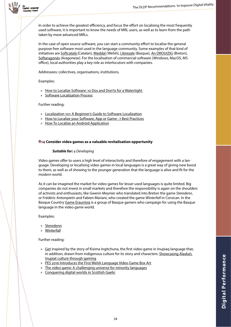

In order to achieve the greatest efficiency, and focus the effort on localising the most frequently used software, it is important to know the needs of MRL users, as well as to learn from the path taken by more advanced MRLs.

In the case of open source software, you can start a community effort to localise the general purpose free software most used in the language community. Some examples of that kind of initiatives are [Softcatalà \(](https://www.softcatala.org/)Catalan), [Meddal \(](http://www.meddal.com/meddal/)Welsh), [Librezale](https://librezale.eus/) (Basque), [An DROUIZIG](http://www.drouizig.org/index.php/en/) (Breton), [Softaragonés](http://www.softaragones.org) (Aragonese). For the localisation of commercial software (Windows, MacOS, MS office), local authorities play a key role as interlocutors with companies.

Addressees: collectives, organisations, institutions.

#### Examples:

- » How to Localize Software: 10 Dos and Don'ts for a Watertight
- » [Software Localization Process](http://content.lionbridge.com/how-to-localize-software-10-dos-and-donts-for-a-watertight-software-localization-process/)

#### Further reading:

- » [Localization 101: A Beginner's Guide to Software Localization](https://www.transifex.com/blog/2015/software-localization-guide/)
- » [How to Localize your Software, App or Game : 7 Best Practices](https://www.at-it-translator.com/best-practicestips-for-software-application-and-game-localization/)
- » [How To Localize an Android Application](https://code.tutsplus.com/tutorials/how-to-localize-an-android-application--cms-22154)

#### <span id="page-33-0"></span>**R14 Consider video games as a valuable revitalisation opportunity**

#### *Suitable for: 4 Developing*

Video games offer to users a high level of interactivity and therefore of engagement with a language. Developing or localising video games in local languages is a great way of giving new boost to them, as well as of showing to the younger generation that the language is alive and fit for the modern world.

As it can be imagined the market for video games for lesser used languages is quite limited. Big companies do not invest in small markets and therefore the responsibility is again on the shoulders of activists and enthusiasts, like Gwenn Meynier who translated into Breton the game *Steredenn*, or Frédéric Antonpietri and Fabien Mariani, who created the game *Winterfall* in Corsican. In the Basque Country [Game Erauntsia](https://gamerauntsia.eus/) is a group of Basque gamers who campaign for using the Basque language in the video game world.

Examples:

- » [Steredenn](http://steredenn.pixelnest.io)
- » [Winterfall](https://www.winterfallgame.com)

Further reading:

- » Get inspired by the story of Kisima Ingitchuna, the first video game in Inupiaq language that, in addition, drawn from indigenous culture for its story and characters: [Showcasing Alaska's](http://www.hcn.org/issues/48.21/can-this-video-game-make-alaskas-inupiat-more-visible)  [Inupiat culture through gaming](http://www.hcn.org/issues/48.21/can-this-video-game-make-alaskas-inupiat-more-visible)
- » [PES 2016 Introduces the First Welsh Language Video Game Box Art](http://www.ign.com/articles/2016/04/21/pes-2016-introduces-the-first-welsh-language-video-game-box-art)
- » [The video game: A challenging universe for minority languages](https://medium.com/r12n/the-video-game-a-challenging-universe-for-minority-languages-65c2cd7af7d2)
- » [Conquering digital worlds in Scottish Gaelic](https://medium.com/r12n/the-video-game-a-challenging-universe-for-minority-languages-65c2cd7af7d2)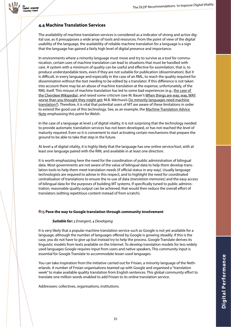

## <span id="page-34-0"></span>**4.4 Machine Translation Services**

The availability of machine translation services is considered as a indicator of strong and active digital use, as it presupposes a wide array of tools and resources. From the point of view of the digital usability of the language, the availability of reliable machine translation for a language is a sign that the language has gained a fairly high level of digital presence and importance.

In environments where a minority language must move and try to survive as a tool for communication, certain uses of machine translation can lead to situations that must be handled with care. A system with a minimum of quality can be useful and effective for assimilation, that is, to produce understandable texts, even if they are not suitable for publication (dissemination). But it is difficult, in every language and especially in the case of an RML, to reach the quality required for dissemination without the text needing to be edited by a translator. If this difference is not taken into account there may be an abuse of machine translation at the expense, unfortunately, of the RML itself. This misuse of machine translation has led to some bad experiences (e.g., the case of [the Cherokee Wikipedia](https://chr.wikipedia.org/wiki/%E1%8F%AB%E1%8E%A9%E1%8F%87%E1%8F%97%E1%8F%AF:%E1%8E%BE%E1%8E%A5_%E1%8F%84%E1%8E%BE%E1%8F%93%E1%8E%B8_%E1%8E%BE%E1%8E%BF%E1%8E%A2#Ideas_to_aggressively_delete_or_mostly_blank_poor-quality_entries)), and raised some criticism (see M. Bauer's When things are way, way, WAY [worse than you thought they might get;](https://akerbeltzalba.wordpress.com/2016/09/01/when-things-are-way-way-way-worse-than-you-thought-they-might-get/) M.B. Měchura's [Do minority languages need machine](https://multikulti.wordpress.com/2015/11/13/do-minority-languages-need-machine-translation/)  [translation?\)](https://multikulti.wordpress.com/2015/11/13/do-minority-languages-need-machine-translation/). Therefore, it is vital that potential users of MT are aware of these limitations in order to extend the good use of this technology. See, as an example, the Machine Translation Advice [Note](http://techiaith.cymru/translation/advice/?lang=en) emphasising this point for Welsh.

In the case of a language at level 3 of digital vitality, it is not surprising that the technology needed to provide automatic translation services has not been developed, or has not reached the level of maturity required. Even so it is convenient to start activating certain mechanisms that prepare the ground to be able to take that step in the future.

At level 4 of digital vitality, it is highly likely that the language has one online service/tool, with at least one language paired with the RML and available in at least one direction.

It is worth emphasizing here the need for the coordination of public administration of bilingual data. Most governments are not aware of the value of bilingual data to help them develop translation tools to help them meet translation needs (if official status in any way). Usually language technologists are required to advise in this respect, and to highlight the need for coordinated centralisation of translations to ensure the re-use of data (*translation memories*) and the easy access of bilingual data for the purposes of building MT systems. If specifically tuned to public administration, reasonable quality output can be achieved; that would then reduce the overall effort of translators (editing repetitious content instead of from scratch).

#### <span id="page-34-1"></span>**R15 Pave the way to Google translation through community involvement**

#### *Suitable for: 3 Emergent, 4 Developing*

It is very likely that a popular machine translation service such as Google is not yet available for a language, although the number of languages offered by Google is growing steadily. If this is the case, you do not have to give up but instead try to help the process. Google Translate derives its linguistic models from texts available on the Internet. To develop translation models for less widely used languages Google requires input from users and native speakers. This community input is essential for Google Translate to accommodate lesser-used languages.

You can take inspiration from the initiative carried out for Frisian, a minority language of the Netherlands. A number of Frisian organisations teamed up with Google and organised a "translation week" to make available quality translation from English sentences. This global community effort to translate one million words enabled to add Frisian to its online translation service.

Addressees: collectives, organisations, institutions.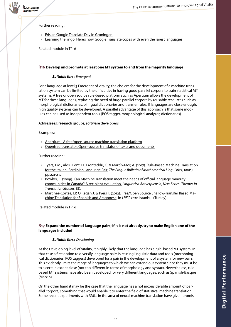

Further reading:

- » [Frisian Google Translate Day in Groningen](file://fs02/kruse$/Dokumente/DLDP/IO3%20-%20Language%20Vitality%20Scale/survival%20kits/frisian-fryske-google-translate-day-yn-grins-translate-english-frisian-google-translate-dei-in-groningen/)
- » [Learning the lingo: Here's how Google Translate copes with even the rarest languages](http://www.zdnet.com/article/learning-the-lingo-heres-how-google-translate-copes-with-even-the-rarest-languages/)

Related module in TP: 6

#### <span id="page-35-0"></span>**R16 Develop and promote at least one MT system to and from the majority language**

#### *Suitable for: 3 Emergent*

For a language at level 3 Emergent of vitality, the choices for the development of a machine translation system can be limited by the difficulties in having good parallel corpora to train statistical MT systems. A free or open source rule-based platform such as Apertium allows the development of MT for these languages, replacing the need of huge parallel corpora by reusable resources such as morphological dictionaries, bilingual dictionaries and transfer rules. If languages are close enough, high quality systems can be developed. A parallel advantage of this approach is that some modules can be used as independent tools (POS tagger, morphological analyzer, dictionaries).

Addressees: research groups, software developers.

#### Examples:

- » [Apertium | A free/open-source machine translation platform](https://www.apertium.org/index.eng.html?dir=slv-hrv)
- » [Opentrad translator. Open-source translator of texts and documents](http://www.opentrad.com/en/?)

#### Further reading:

- » Tyers, F.M., Alòs i Font, H., Fronteddu, G. & Martín-Mor, A. (2017). [Rule-Based Machine Translation](https://www.degruyter.com/downloadpdf/j/pralin.2017.108.issue-1/pralin-2017-0022/pralin-2017-0022.pdf) [for the Italian–Sardinian Language Pair.](https://www.degruyter.com/downloadpdf/j/pralin.2017.108.issue-1/pralin-2017-0022/pralin-2017-0022.pdf) *The Prague Bulletin of Mathematical Linguistics*, *108*(1), pp.221-232.
- » Bowker, L. (2009). [Can Machine Translation meet the needs of official language minority](https://lans-tts.uantwerpen.be/index.php/LANS-TTS/article/viewFile/248/149)  [communities in Canada? A recipient evaluation.](https://lans-tts.uantwerpen.be/index.php/LANS-TTS/article/viewFile/248/149) *Linguistica Antverpiensia, New Series–Themes in Translation Studies*, (8).
- » Martínez-Cortés, J.P, O'Regan J. & Tyers F. (2012). [Free/Open Source Shallow-Transfer Based Ma](https://www.researchgate.net/profile/Jim_Oregan/publication/266486889_FreeOpen_Source_Shallow-Transfer_Based_Machine_Translation_for_Spanish_and_Aragonese/links/54b5ad530cf2318f0f9a02ff.pdf)[chine Translation for Spanish and Aragonese](https://www.researchgate.net/profile/Jim_Oregan/publication/266486889_FreeOpen_Source_Shallow-Transfer_Based_Machine_Translation_for_Spanish_and_Aragonese/links/54b5ad530cf2318f0f9a02ff.pdf). In *LREC-2012*. Istanbul (Turkey).

Related module in TP: 6

#### <span id="page-35-1"></span>**R17 Expand the number of language pairs; if it is not already, try to make English one of the languages included**

#### *Suitable for: 4 Developing*

At the Developing level of vitality, it highly likely that the language has a rule-based MT system. In that case a first option to diversify language pairs is reusing linguistic data and tools (morphological dictionaries, POS taggers) developed for a pair in the development of a system for new pairs. This evidently limits the range of languages to which we can extend our system since they must be to a certain extent close (not too different in terms of morphology and syntax). Nevertheless, rulebased MT systems have also been developed for very different languages, such as Spanish-Basque (Matxin).

On the other hand it may be the case that the language has a not inconsiderable amount of parallel corpora, something that would enable it to enter the field of statistical machine translation. Some recent experiments with RMLs in the area of neural machine translation have given promis-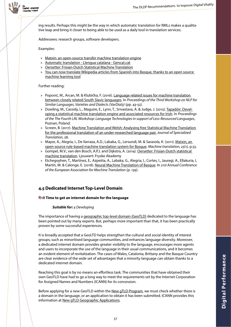

ing results. Perhaps this might be the way in which automatic translation for RMLs makes a qualitative leap and bring it closer to being able to be used as a daily tool in translation services.

Addressees: research groups, software developers.

Examples:

- » [Matxin: an open-source transfer machine translation engine](http://matxin.sourceforge.net/)
- » [Automatic translation Llengua catalana Gencat.cat](http://llengua.gencat.cat/en/eines_i_serveis/traduccio-automatica-en-linia/)
- » [Oersetter: Frisian-Dutch Statistical Machine Translation](http://www.ru.nl/lst/demos/oersetter/)
- » [You can now translate Wikipedia articles from Spanish into Basque, thanks to an open source](https://blog.wikimedia.org/2018/02/22/wikipedia-translate-spanish-basque/)  [machine learning too](https://blog.wikimedia.org/2018/02/22/wikipedia-translate-spanish-basque/)l

Further reading:

- » Popović, M., Arcan, M. & Klubička, F. (2016). Language related issues for machine translation [between closely related South Slavic languages.](http://www.aclweb.org/anthology/W16-4806) In *Proceedings of the Third Workshop on NLP for Similar Languages, Varieties and Dialects (VarDial3)* (pp. 43-52).
- » Dowling, M., Cassidy, L., Maguire, E., Lynn, T., Srivastava, A. & Judge, J. (2015). [Tapadóir: Devel](https://www.researchgate.net/profile/Teresa_Lynn/publication/285596097_Tapadoir_Developing_a_Statistical_Machine_Translation_Engine_and_Associated_Resources_for_Irish/links/5661917208ae15e7462c556a.pdf)[oping a statistical machine translation engine and associated resources for Irish](https://www.researchgate.net/profile/Teresa_Lynn/publication/285596097_Tapadoir_Developing_a_Statistical_Machine_Translation_Engine_and_Associated_Resources_for_Irish/links/5661917208ae15e7462c556a.pdf). In *Proceedings of the The Fourth LRL Workshop: Language Technologies in support of Less-Resourced Languages*, Poznan, Poland.
- » Screen, B. (2017). [Machine Translation and Welsh: Analysing free Statistical Machine Translation](http://orca.cf.ac.uk/95166/1/JosTrans Final.pdf)  [for the professional translation of an under-researched language pair.](http://orca.cf.ac.uk/95166/1/JosTrans Final.pdf) *Journal of Specialized Translation*, 28.
- » Mayor, A., Alegria, I., De Ilarraza, A.D., Labaka, G., Lersundi, M. & Sarasola, K. (2011). Matxin, an [open-source rule-based machine translation system for Basque.](https://www.researchgate.net/publication/225896052_Matxin_an_open-source_rule-based_machine_translation_system_for_Basque) *Machine translation*, *25*(1), p.53.
- » Gompel, M.V., van den Bosch, A.P.J. and Dijkstra, A. (2014). [Oersetter: Frisian-Dutch statistical](http://antalvandenbosch.ruhosting.nl/papers/oersetter.pdf)  [machine translation](http://antalvandenbosch.ruhosting.nl/papers/oersetter.pdf). Ljouwert: Fryske Akademy
- » Etchegoyhen, T., Martínez, E., Azpeitia, A., Labaka, G., Alegria, I., Cortes, I., Jauregi, A., Ellakuria, I, Martin, M. & Calonge, E. (2018). [Neural Machine Translation of Basque](http://modela.ametza.com/documentos/eamt2018_paper29_final.pdf). In *21st Annual Conference of the European Association for Machine Translation* (p. 139).

## <span id="page-36-0"></span>**4.5 Dedicated Internet Top-Level Domain**

#### <span id="page-36-1"></span>**R18 Time to get an internet domain for the language**

#### *Suitable for: 4 Developing*

The importance of having a [geographic top-level domain \(GeoTLD\)](https://en.wikipedia.org/wiki/GeoTLD) dedicated to the language has been pointed out by many experts. But, perhaps more important than that, it has been practically proven by some successful experiences.

It is broadly accepted that a GeoLTD helps strengthen the cultural and social identity of interest groups, such as minoritised language communities, and enhances language diversity. Moreover, a dedicated internet domain provides greater visibility to the language, encourages more agents and users to incorporate the use of the language in their usual communications, and it becomes an evident element of revitalization. The cases of Wales, Catalonia, Brittany and the Basque Country are clear evidence of the wide set of advantages that a minority language can obtain thanks to a dedicated internet domain.

Reaching this goal is by no means an effortless task. The communities that have obtained their own GeoTLD have had to go a long way to meet the requirements set by the Internet Corporation for Assigned Names and Numbers (ICANN) for its concession.

Before applying for a new GeoTLD within the [New gTLD Program,](https://icannwiki.org/New_gTLD_Program) we must check whether there is a domain in the language, or an application to obtain it has been submitted. ICANN provides this information at [New gTLD Geographic Applications](https://icannwiki.org/New_gTLD_Geographic_Applications).